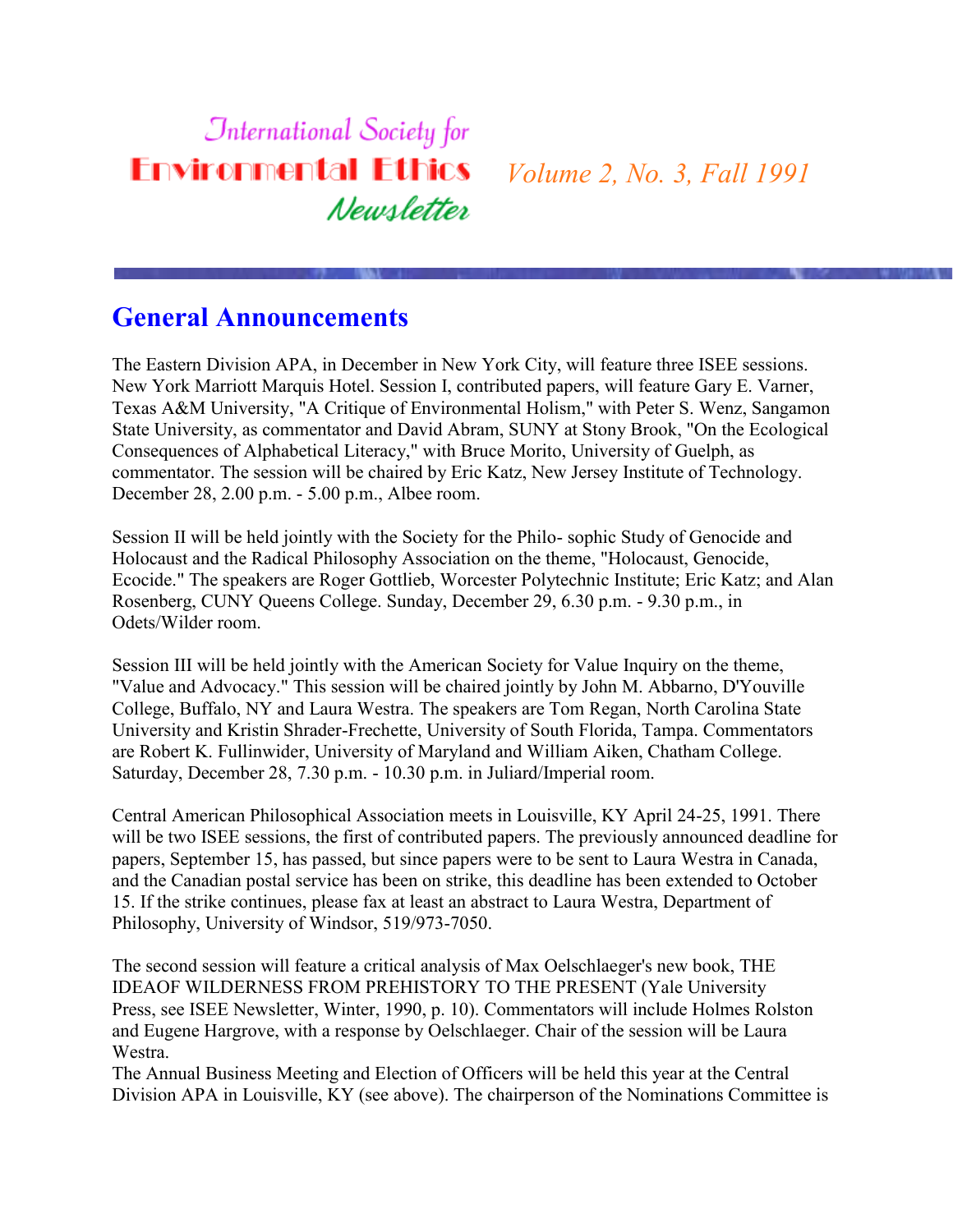### **International Society for Environmental Ethics** *Volume 2, No. 3, Fall 1991* Newsletter

### **General Announcements**

The Eastern Division APA, in December in New York City, will feature three ISEE sessions. New York Marriott Marquis Hotel. Session I, contributed papers, will feature Gary E. Varner, Texas A&M University, "A Critique of Environmental Holism," with Peter S. Wenz, Sangamon State University, as commentator and David Abram, SUNY at Stony Brook, "On the Ecological Consequences of Alphabetical Literacy," with Bruce Morito, University of Guelph, as commentator. The session will be chaired by Eric Katz, New Jersey Institute of Technology. December 28, 2.00 p.m. - 5.00 p.m., Albee room.

Session II will be held jointly with the Society for the Philo- sophic Study of Genocide and Holocaust and the Radical Philosophy Association on the theme, "Holocaust, Genocide, Ecocide." The speakers are Roger Gottlieb, Worcester Polytechnic Institute; Eric Katz; and Alan Rosenberg, CUNY Queens College. Sunday, December 29, 6.30 p.m. - 9.30 p.m., in Odets/Wilder room.

Session III will be held jointly with the American Society for Value Inquiry on the theme, "Value and Advocacy." This session will be chaired jointly by John M. Abbarno, D'Youville College, Buffalo, NY and Laura Westra. The speakers are Tom Regan, North Carolina State University and Kristin Shrader-Frechette, University of South Florida, Tampa. Commentators are Robert K. Fullinwider, University of Maryland and William Aiken, Chatham College. Saturday, December 28, 7.30 p.m. - 10.30 p.m. in Juliard/Imperial room.

Central American Philosophical Association meets in Louisville, KY April 24-25, 1991. There will be two ISEE sessions, the first of contributed papers. The previously announced deadline for papers, September 15, has passed, but since papers were to be sent to Laura Westra in Canada, and the Canadian postal service has been on strike, this deadline has been extended to October 15. If the strike continues, please fax at least an abstract to Laura Westra, Department of Philosophy, University of Windsor, 519/973-7050.

The second session will feature a critical analysis of Max Oelschlaeger's new book, THE IDEAOF WILDERNESS FROM PREHISTORY TO THE PRESENT (Yale University Press, see ISEE Newsletter, Winter, 1990, p. 10). Commentators will include Holmes Rolston and Eugene Hargrove, with a response by Oelschlaeger. Chair of the session will be Laura Westra.

The Annual Business Meeting and Election of Officers will be held this year at the Central Division APA in Louisville, KY (see above). The chairperson of the Nominations Committee is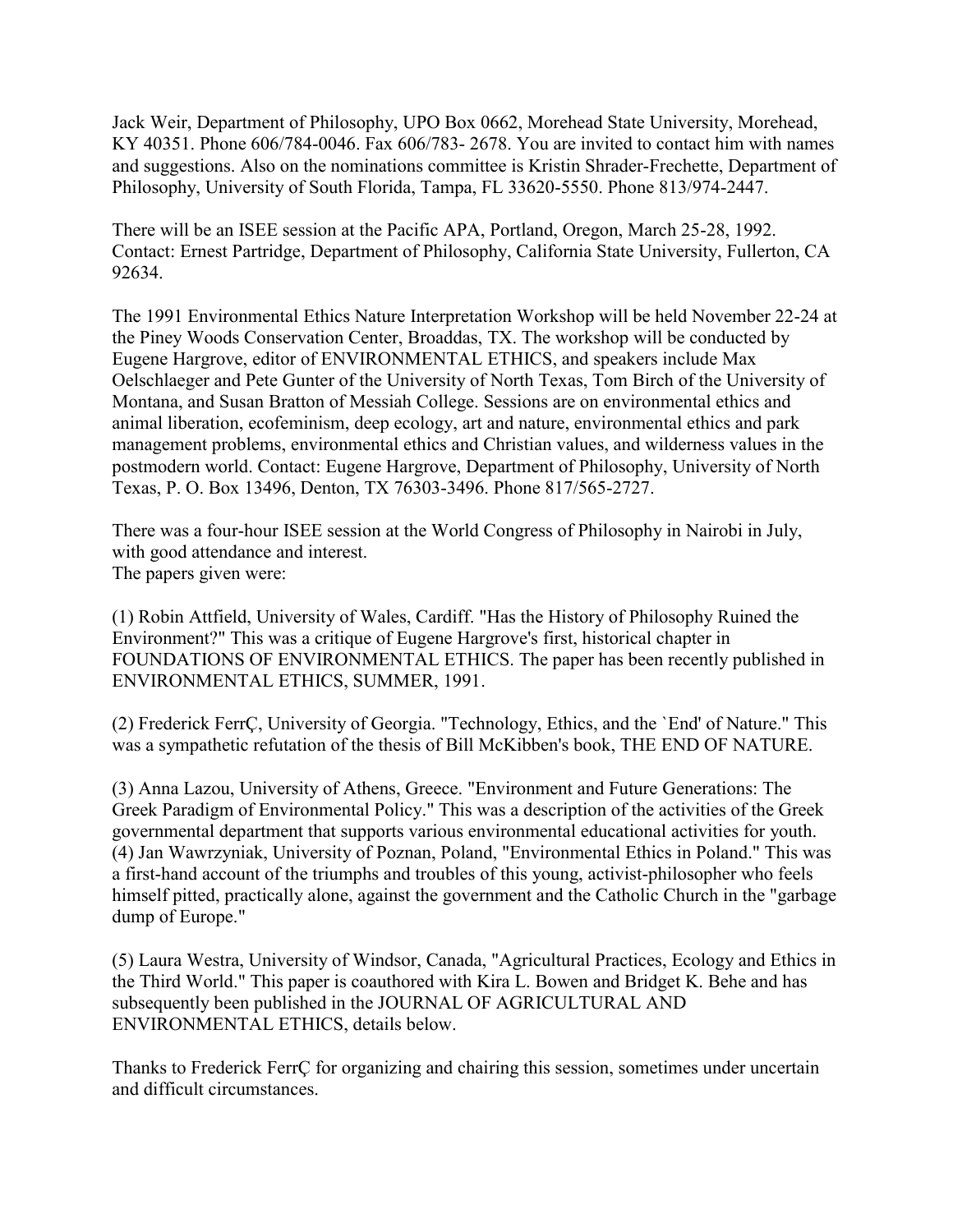Jack Weir, Department of Philosophy, UPO Box 0662, Morehead State University, Morehead, KY 40351. Phone 606/784-0046. Fax 606/783- 2678. You are invited to contact him with names and suggestions. Also on the nominations committee is Kristin Shrader-Frechette, Department of Philosophy, University of South Florida, Tampa, FL 33620-5550. Phone 813/974-2447.

There will be an ISEE session at the Pacific APA, Portland, Oregon, March 25-28, 1992. Contact: Ernest Partridge, Department of Philosophy, California State University, Fullerton, CA 92634.

The 1991 Environmental Ethics Nature Interpretation Workshop will be held November 22-24 at the Piney Woods Conservation Center, Broaddas, TX. The workshop will be conducted by Eugene Hargrove, editor of ENVIRONMENTAL ETHICS, and speakers include Max Oelschlaeger and Pete Gunter of the University of North Texas, Tom Birch of the University of Montana, and Susan Bratton of Messiah College. Sessions are on environmental ethics and animal liberation, ecofeminism, deep ecology, art and nature, environmental ethics and park management problems, environmental ethics and Christian values, and wilderness values in the postmodern world. Contact: Eugene Hargrove, Department of Philosophy, University of North Texas, P. O. Box 13496, Denton, TX 76303-3496. Phone 817/565-2727.

There was a four-hour ISEE session at the World Congress of Philosophy in Nairobi in July, with good attendance and interest. The papers given were:

(1) Robin Attfield, University of Wales, Cardiff. "Has the History of Philosophy Ruined the Environment?" This was a critique of Eugene Hargrove's first, historical chapter in FOUNDATIONS OF ENVIRONMENTAL ETHICS. The paper has been recently published in ENVIRONMENTAL ETHICS, SUMMER, 1991.

(2) Frederick FerrÇ, University of Georgia. "Technology, Ethics, and the `End' of Nature." This was a sympathetic refutation of the thesis of Bill McKibben's book, THE END OF NATURE.

(3) Anna Lazou, University of Athens, Greece. "Environment and Future Generations: The Greek Paradigm of Environmental Policy." This was a description of the activities of the Greek governmental department that supports various environmental educational activities for youth. (4) Jan Wawrzyniak, University of Poznan, Poland, "Environmental Ethics in Poland." This was a first-hand account of the triumphs and troubles of this young, activist-philosopher who feels himself pitted, practically alone, against the government and the Catholic Church in the "garbage dump of Europe."

(5) Laura Westra, University of Windsor, Canada, "Agricultural Practices, Ecology and Ethics in the Third World." This paper is coauthored with Kira L. Bowen and Bridget K. Behe and has subsequently been published in the JOURNAL OF AGRICULTURAL AND ENVIRONMENTAL ETHICS, details below.

Thanks to Frederick FerrÇ for organizing and chairing this session, sometimes under uncertain and difficult circumstances.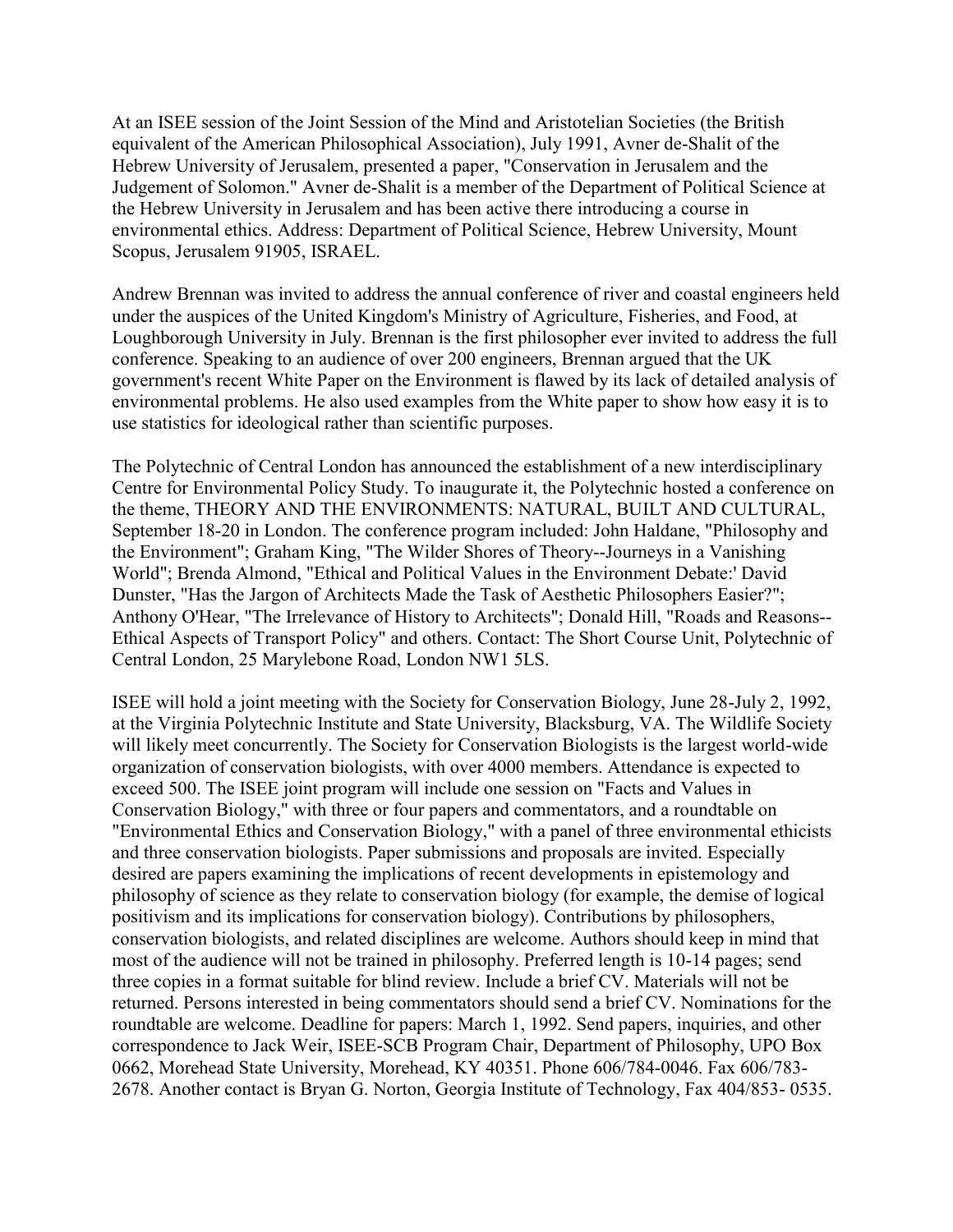At an ISEE session of the Joint Session of the Mind and Aristotelian Societies (the British equivalent of the American Philosophical Association), July 1991, Avner de-Shalit of the Hebrew University of Jerusalem, presented a paper, "Conservation in Jerusalem and the Judgement of Solomon." Avner de-Shalit is a member of the Department of Political Science at the Hebrew University in Jerusalem and has been active there introducing a course in environmental ethics. Address: Department of Political Science, Hebrew University, Mount Scopus, Jerusalem 91905, ISRAEL.

Andrew Brennan was invited to address the annual conference of river and coastal engineers held under the auspices of the United Kingdom's Ministry of Agriculture, Fisheries, and Food, at Loughborough University in July. Brennan is the first philosopher ever invited to address the full conference. Speaking to an audience of over 200 engineers, Brennan argued that the UK government's recent White Paper on the Environment is flawed by its lack of detailed analysis of environmental problems. He also used examples from the White paper to show how easy it is to use statistics for ideological rather than scientific purposes.

The Polytechnic of Central London has announced the establishment of a new interdisciplinary Centre for Environmental Policy Study. To inaugurate it, the Polytechnic hosted a conference on the theme, THEORY AND THE ENVIRONMENTS: NATURAL, BUILT AND CULTURAL, September 18-20 in London. The conference program included: John Haldane, "Philosophy and the Environment"; Graham King, "The Wilder Shores of Theory--Journeys in a Vanishing World"; Brenda Almond, "Ethical and Political Values in the Environment Debate:' David Dunster, "Has the Jargon of Architects Made the Task of Aesthetic Philosophers Easier?"; Anthony O'Hear, "The Irrelevance of History to Architects"; Donald Hill, "Roads and Reasons-- Ethical Aspects of Transport Policy" and others. Contact: The Short Course Unit, Polytechnic of Central London, 25 Marylebone Road, London NW1 5LS.

ISEE will hold a joint meeting with the Society for Conservation Biology, June 28-July 2, 1992, at the Virginia Polytechnic Institute and State University, Blacksburg, VA. The Wildlife Society will likely meet concurrently. The Society for Conservation Biologists is the largest world-wide organization of conservation biologists, with over 4000 members. Attendance is expected to exceed 500. The ISEE joint program will include one session on "Facts and Values in Conservation Biology," with three or four papers and commentators, and a roundtable on "Environmental Ethics and Conservation Biology," with a panel of three environmental ethicists and three conservation biologists. Paper submissions and proposals are invited. Especially desired are papers examining the implications of recent developments in epistemology and philosophy of science as they relate to conservation biology (for example, the demise of logical positivism and its implications for conservation biology). Contributions by philosophers, conservation biologists, and related disciplines are welcome. Authors should keep in mind that most of the audience will not be trained in philosophy. Preferred length is 10-14 pages; send three copies in a format suitable for blind review. Include a brief CV. Materials will not be returned. Persons interested in being commentators should send a brief CV. Nominations for the roundtable are welcome. Deadline for papers: March 1, 1992. Send papers, inquiries, and other correspondence to Jack Weir, ISEE-SCB Program Chair, Department of Philosophy, UPO Box 0662, Morehead State University, Morehead, KY 40351. Phone 606/784-0046. Fax 606/783- 2678. Another contact is Bryan G. Norton, Georgia Institute of Technology, Fax 404/853- 0535.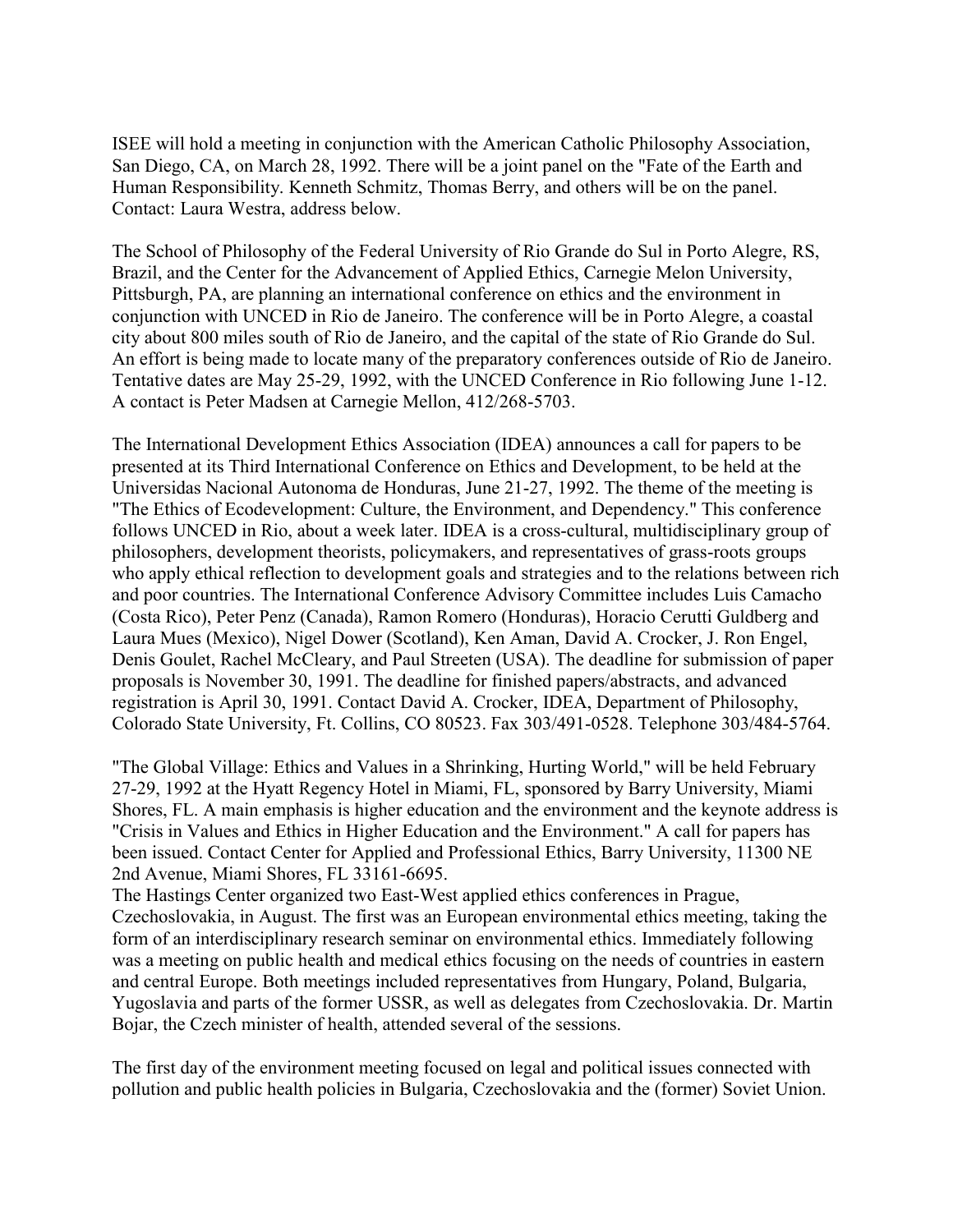ISEE will hold a meeting in conjunction with the American Catholic Philosophy Association, San Diego, CA, on March 28, 1992. There will be a joint panel on the "Fate of the Earth and Human Responsibility. Kenneth Schmitz, Thomas Berry, and others will be on the panel. Contact: Laura Westra, address below.

The School of Philosophy of the Federal University of Rio Grande do Sul in Porto Alegre, RS, Brazil, and the Center for the Advancement of Applied Ethics, Carnegie Melon University, Pittsburgh, PA, are planning an international conference on ethics and the environment in conjunction with UNCED in Rio de Janeiro. The conference will be in Porto Alegre, a coastal city about 800 miles south of Rio de Janeiro, and the capital of the state of Rio Grande do Sul. An effort is being made to locate many of the preparatory conferences outside of Rio de Janeiro. Tentative dates are May 25-29, 1992, with the UNCED Conference in Rio following June 1-12. A contact is Peter Madsen at Carnegie Mellon, 412/268-5703.

The International Development Ethics Association (IDEA) announces a call for papers to be presented at its Third International Conference on Ethics and Development, to be held at the Universidas Nacional Autonoma de Honduras, June 21-27, 1992. The theme of the meeting is "The Ethics of Ecodevelopment: Culture, the Environment, and Dependency." This conference follows UNCED in Rio, about a week later. IDEA is a cross-cultural, multidisciplinary group of philosophers, development theorists, policymakers, and representatives of grass-roots groups who apply ethical reflection to development goals and strategies and to the relations between rich and poor countries. The International Conference Advisory Committee includes Luis Camacho (Costa Rico), Peter Penz (Canada), Ramon Romero (Honduras), Horacio Cerutti Guldberg and Laura Mues (Mexico), Nigel Dower (Scotland), Ken Aman, David A. Crocker, J. Ron Engel, Denis Goulet, Rachel McCleary, and Paul Streeten (USA). The deadline for submission of paper proposals is November 30, 1991. The deadline for finished papers/abstracts, and advanced registration is April 30, 1991. Contact David A. Crocker, IDEA, Department of Philosophy, Colorado State University, Ft. Collins, CO 80523. Fax 303/491-0528. Telephone 303/484-5764.

"The Global Village: Ethics and Values in a Shrinking, Hurting World," will be held February 27-29, 1992 at the Hyatt Regency Hotel in Miami, FL, sponsored by Barry University, Miami Shores, FL. A main emphasis is higher education and the environment and the keynote address is "Crisis in Values and Ethics in Higher Education and the Environment." A call for papers has been issued. Contact Center for Applied and Professional Ethics, Barry University, 11300 NE 2nd Avenue, Miami Shores, FL 33161-6695.

The Hastings Center organized two East-West applied ethics conferences in Prague, Czechoslovakia, in August. The first was an European environmental ethics meeting, taking the form of an interdisciplinary research seminar on environmental ethics. Immediately following was a meeting on public health and medical ethics focusing on the needs of countries in eastern and central Europe. Both meetings included representatives from Hungary, Poland, Bulgaria, Yugoslavia and parts of the former USSR, as well as delegates from Czechoslovakia. Dr. Martin Bojar, the Czech minister of health, attended several of the sessions.

The first day of the environment meeting focused on legal and political issues connected with pollution and public health policies in Bulgaria, Czechoslovakia and the (former) Soviet Union.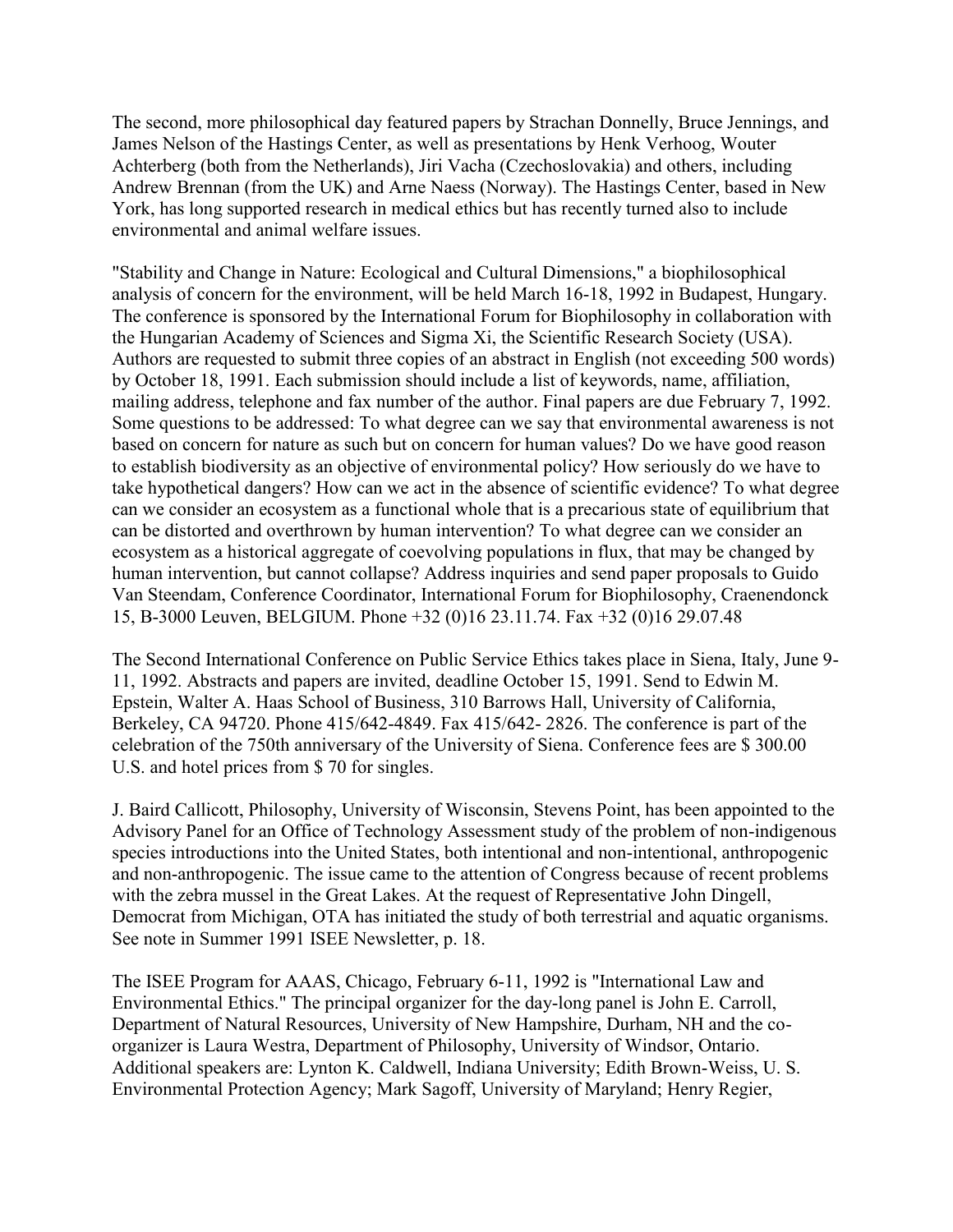The second, more philosophical day featured papers by Strachan Donnelly, Bruce Jennings, and James Nelson of the Hastings Center, as well as presentations by Henk Verhoog, Wouter Achterberg (both from the Netherlands), Jiri Vacha (Czechoslovakia) and others, including Andrew Brennan (from the UK) and Arne Naess (Norway). The Hastings Center, based in New York, has long supported research in medical ethics but has recently turned also to include environmental and animal welfare issues.

"Stability and Change in Nature: Ecological and Cultural Dimensions," a biophilosophical analysis of concern for the environment, will be held March 16-18, 1992 in Budapest, Hungary. The conference is sponsored by the International Forum for Biophilosophy in collaboration with the Hungarian Academy of Sciences and Sigma Xi, the Scientific Research Society (USA). Authors are requested to submit three copies of an abstract in English (not exceeding 500 words) by October 18, 1991. Each submission should include a list of keywords, name, affiliation, mailing address, telephone and fax number of the author. Final papers are due February 7, 1992. Some questions to be addressed: To what degree can we say that environmental awareness is not based on concern for nature as such but on concern for human values? Do we have good reason to establish biodiversity as an objective of environmental policy? How seriously do we have to take hypothetical dangers? How can we act in the absence of scientific evidence? To what degree can we consider an ecosystem as a functional whole that is a precarious state of equilibrium that can be distorted and overthrown by human intervention? To what degree can we consider an ecosystem as a historical aggregate of coevolving populations in flux, that may be changed by human intervention, but cannot collapse? Address inquiries and send paper proposals to Guido Van Steendam, Conference Coordinator, International Forum for Biophilosophy, Craenendonck 15, B-3000 Leuven, BELGIUM. Phone +32 (0)16 23.11.74. Fax +32 (0)16 29.07.48

The Second International Conference on Public Service Ethics takes place in Siena, Italy, June 9- 11, 1992. Abstracts and papers are invited, deadline October 15, 1991. Send to Edwin M. Epstein, Walter A. Haas School of Business, 310 Barrows Hall, University of California, Berkeley, CA 94720. Phone 415/642-4849. Fax 415/642- 2826. The conference is part of the celebration of the 750th anniversary of the University of Siena. Conference fees are \$ 300.00 U.S. and hotel prices from \$ 70 for singles.

J. Baird Callicott, Philosophy, University of Wisconsin, Stevens Point, has been appointed to the Advisory Panel for an Office of Technology Assessment study of the problem of non-indigenous species introductions into the United States, both intentional and non-intentional, anthropogenic and non-anthropogenic. The issue came to the attention of Congress because of recent problems with the zebra mussel in the Great Lakes. At the request of Representative John Dingell, Democrat from Michigan, OTA has initiated the study of both terrestrial and aquatic organisms. See note in Summer 1991 ISEE Newsletter, p. 18.

The ISEE Program for AAAS, Chicago, February 6-11, 1992 is "International Law and Environmental Ethics." The principal organizer for the day-long panel is John E. Carroll, Department of Natural Resources, University of New Hampshire, Durham, NH and the coorganizer is Laura Westra, Department of Philosophy, University of Windsor, Ontario. Additional speakers are: Lynton K. Caldwell, Indiana University; Edith Brown-Weiss, U. S. Environmental Protection Agency; Mark Sagoff, University of Maryland; Henry Regier,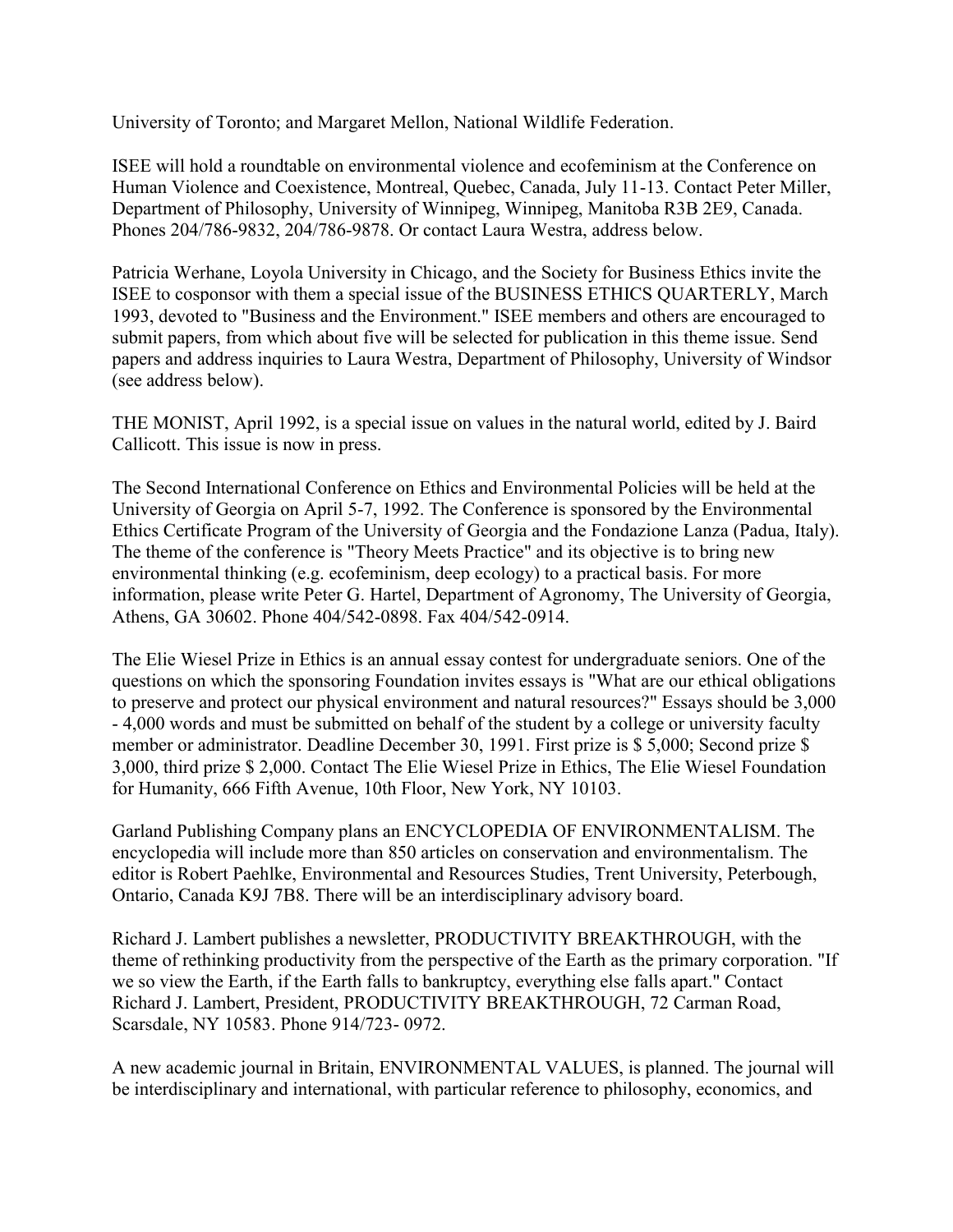University of Toronto; and Margaret Mellon, National Wildlife Federation.

ISEE will hold a roundtable on environmental violence and ecofeminism at the Conference on Human Violence and Coexistence, Montreal, Quebec, Canada, July 11-13. Contact Peter Miller, Department of Philosophy, University of Winnipeg, Winnipeg, Manitoba R3B 2E9, Canada. Phones 204/786-9832, 204/786-9878. Or contact Laura Westra, address below.

Patricia Werhane, Loyola University in Chicago, and the Society for Business Ethics invite the ISEE to cosponsor with them a special issue of the BUSINESS ETHICS QUARTERLY, March 1993, devoted to "Business and the Environment." ISEE members and others are encouraged to submit papers, from which about five will be selected for publication in this theme issue. Send papers and address inquiries to Laura Westra, Department of Philosophy, University of Windsor (see address below).

THE MONIST, April 1992, is a special issue on values in the natural world, edited by J. Baird Callicott. This issue is now in press.

The Second International Conference on Ethics and Environmental Policies will be held at the University of Georgia on April 5-7, 1992. The Conference is sponsored by the Environmental Ethics Certificate Program of the University of Georgia and the Fondazione Lanza (Padua, Italy). The theme of the conference is "Theory Meets Practice" and its objective is to bring new environmental thinking (e.g. ecofeminism, deep ecology) to a practical basis. For more information, please write Peter G. Hartel, Department of Agronomy, The University of Georgia, Athens, GA 30602. Phone 404/542-0898. Fax 404/542-0914.

The Elie Wiesel Prize in Ethics is an annual essay contest for undergraduate seniors. One of the questions on which the sponsoring Foundation invites essays is "What are our ethical obligations to preserve and protect our physical environment and natural resources?" Essays should be 3,000 - 4,000 words and must be submitted on behalf of the student by a college or university faculty member or administrator. Deadline December 30, 1991. First prize is \$ 5,000; Second prize \$ 3,000, third prize \$ 2,000. Contact The Elie Wiesel Prize in Ethics, The Elie Wiesel Foundation for Humanity, 666 Fifth Avenue, 10th Floor, New York, NY 10103.

Garland Publishing Company plans an ENCYCLOPEDIA OF ENVIRONMENTALISM. The encyclopedia will include more than 850 articles on conservation and environmentalism. The editor is Robert Paehlke, Environmental and Resources Studies, Trent University, Peterbough, Ontario, Canada K9J 7B8. There will be an interdisciplinary advisory board.

Richard J. Lambert publishes a newsletter, PRODUCTIVITY BREAKTHROUGH, with the theme of rethinking productivity from the perspective of the Earth as the primary corporation. "If we so view the Earth, if the Earth falls to bankruptcy, everything else falls apart." Contact Richard J. Lambert, President, PRODUCTIVITY BREAKTHROUGH, 72 Carman Road, Scarsdale, NY 10583. Phone 914/723- 0972.

A new academic journal in Britain, ENVIRONMENTAL VALUES, is planned. The journal will be interdisciplinary and international, with particular reference to philosophy, economics, and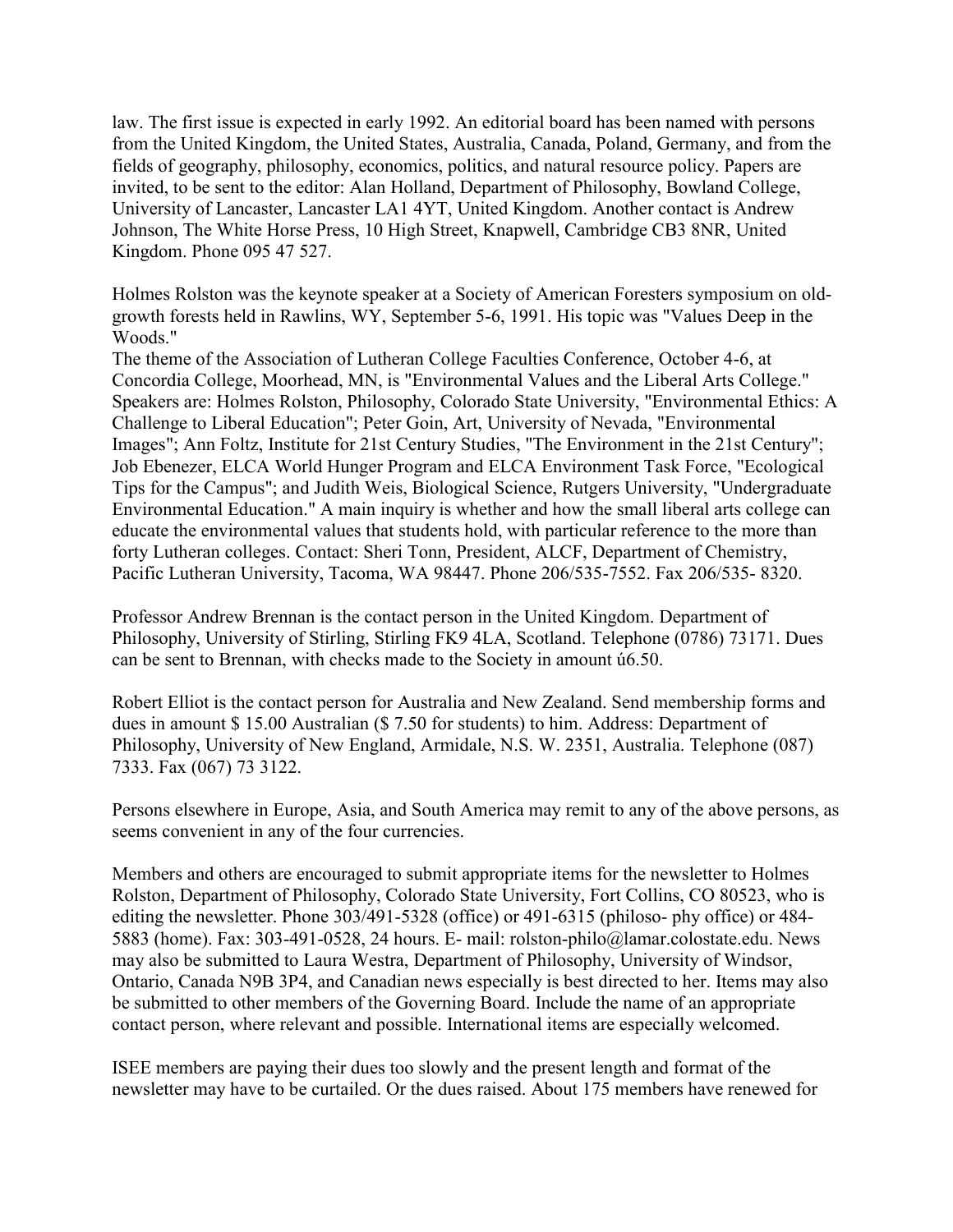law. The first issue is expected in early 1992. An editorial board has been named with persons from the United Kingdom, the United States, Australia, Canada, Poland, Germany, and from the fields of geography, philosophy, economics, politics, and natural resource policy. Papers are invited, to be sent to the editor: Alan Holland, Department of Philosophy, Bowland College, University of Lancaster, Lancaster LA1 4YT, United Kingdom. Another contact is Andrew Johnson, The White Horse Press, 10 High Street, Knapwell, Cambridge CB3 8NR, United Kingdom. Phone 095 47 527.

Holmes Rolston was the keynote speaker at a Society of American Foresters symposium on oldgrowth forests held in Rawlins, WY, September 5-6, 1991. His topic was "Values Deep in the Woods."

The theme of the Association of Lutheran College Faculties Conference, October 4-6, at Concordia College, Moorhead, MN, is "Environmental Values and the Liberal Arts College." Speakers are: Holmes Rolston, Philosophy, Colorado State University, "Environmental Ethics: A Challenge to Liberal Education"; Peter Goin, Art, University of Nevada, "Environmental Images"; Ann Foltz, Institute for 21st Century Studies, "The Environment in the 21st Century"; Job Ebenezer, ELCA World Hunger Program and ELCA Environment Task Force, "Ecological Tips for the Campus"; and Judith Weis, Biological Science, Rutgers University, "Undergraduate Environmental Education." A main inquiry is whether and how the small liberal arts college can educate the environmental values that students hold, with particular reference to the more than forty Lutheran colleges. Contact: Sheri Tonn, President, ALCF, Department of Chemistry, Pacific Lutheran University, Tacoma, WA 98447. Phone 206/535-7552. Fax 206/535- 8320.

Professor Andrew Brennan is the contact person in the United Kingdom. Department of Philosophy, University of Stirling, Stirling FK9 4LA, Scotland. Telephone (0786) 73171. Dues can be sent to Brennan, with checks made to the Society in amount ú6.50.

Robert Elliot is the contact person for Australia and New Zealand. Send membership forms and dues in amount \$ 15.00 Australian (\$ 7.50 for students) to him. Address: Department of Philosophy, University of New England, Armidale, N.S. W. 2351, Australia. Telephone (087) 7333. Fax (067) 73 3122.

Persons elsewhere in Europe, Asia, and South America may remit to any of the above persons, as seems convenient in any of the four currencies.

Members and others are encouraged to submit appropriate items for the newsletter to Holmes Rolston, Department of Philosophy, Colorado State University, Fort Collins, CO 80523, who is editing the newsletter. Phone 303/491-5328 (office) or 491-6315 (philoso- phy office) or 484- 5883 (home). Fax: 303-491-0528, 24 hours. E- mail: rolston-philo@lamar.colostate.edu. News may also be submitted to Laura Westra, Department of Philosophy, University of Windsor, Ontario, Canada N9B 3P4, and Canadian news especially is best directed to her. Items may also be submitted to other members of the Governing Board. Include the name of an appropriate contact person, where relevant and possible. International items are especially welcomed.

ISEE members are paying their dues too slowly and the present length and format of the newsletter may have to be curtailed. Or the dues raised. About 175 members have renewed for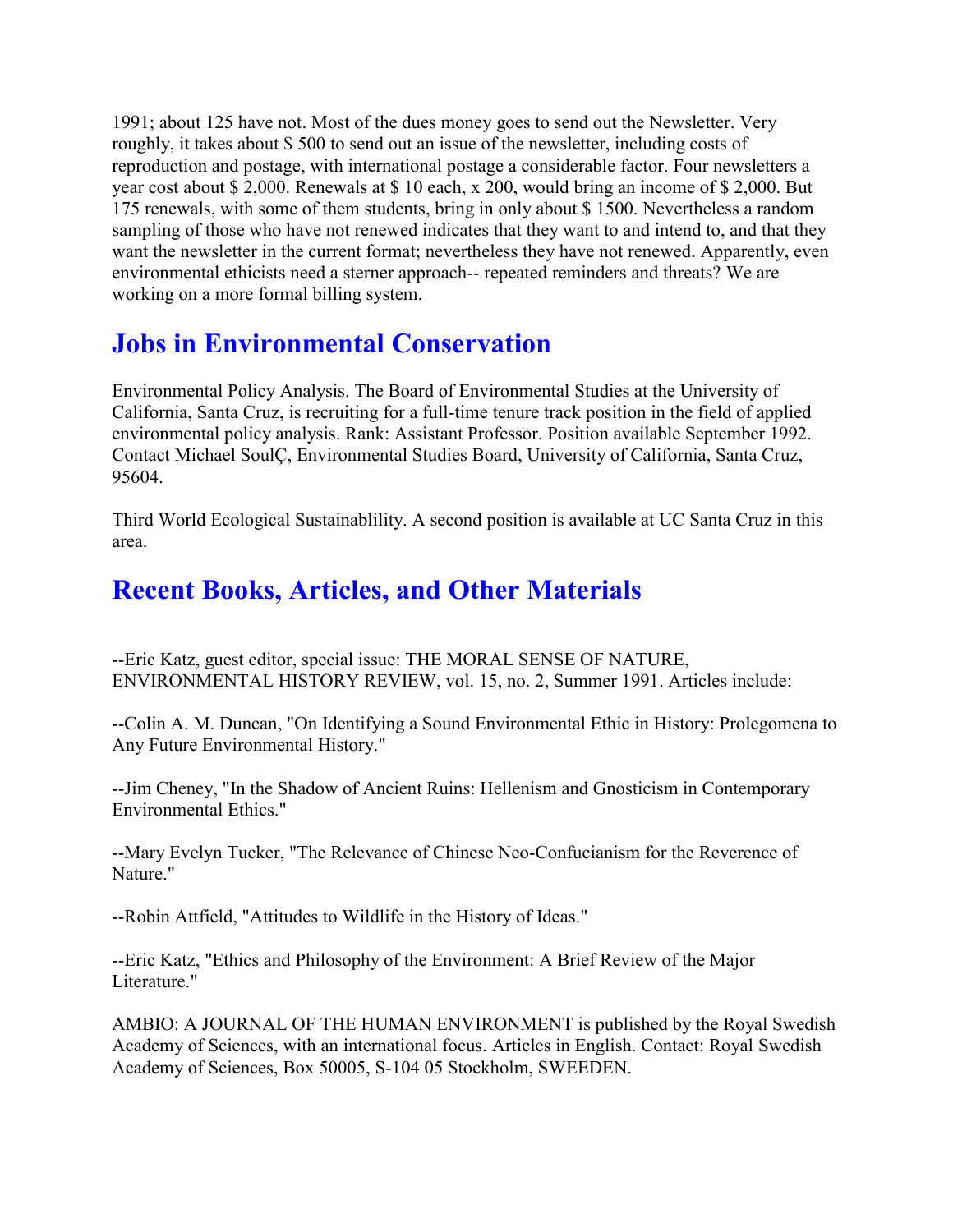1991; about 125 have not. Most of the dues money goes to send out the Newsletter. Very roughly, it takes about \$ 500 to send out an issue of the newsletter, including costs of reproduction and postage, with international postage a considerable factor. Four newsletters a year cost about \$ 2,000. Renewals at \$ 10 each, x 200, would bring an income of \$ 2,000. But 175 renewals, with some of them students, bring in only about \$ 1500. Nevertheless a random sampling of those who have not renewed indicates that they want to and intend to, and that they want the newsletter in the current format; nevertheless they have not renewed. Apparently, even environmental ethicists need a sterner approach-- repeated reminders and threats? We are working on a more formal billing system.

# **Jobs in Environmental Conservation**

Environmental Policy Analysis. The Board of Environmental Studies at the University of California, Santa Cruz, is recruiting for a full-time tenure track position in the field of applied environmental policy analysis. Rank: Assistant Professor. Position available September 1992. Contact Michael SoulÇ, Environmental Studies Board, University of California, Santa Cruz, 95604.

Third World Ecological Sustainablility. A second position is available at UC Santa Cruz in this area.

## **Recent Books, Articles, and Other Materials**

--Eric Katz, guest editor, special issue: THE MORAL SENSE OF NATURE, ENVIRONMENTAL HISTORY REVIEW, vol. 15, no. 2, Summer 1991. Articles include:

--Colin A. M. Duncan, "On Identifying a Sound Environmental Ethic in History: Prolegomena to Any Future Environmental History."

--Jim Cheney, "In the Shadow of Ancient Ruins: Hellenism and Gnosticism in Contemporary Environmental Ethics."

--Mary Evelyn Tucker, "The Relevance of Chinese Neo-Confucianism for the Reverence of Nature."

--Robin Attfield, "Attitudes to Wildlife in the History of Ideas."

--Eric Katz, "Ethics and Philosophy of the Environment: A Brief Review of the Major Literature."

AMBIO: A JOURNAL OF THE HUMAN ENVIRONMENT is published by the Royal Swedish Academy of Sciences, with an international focus. Articles in English. Contact: Royal Swedish Academy of Sciences, Box 50005, S-104 05 Stockholm, SWEEDEN.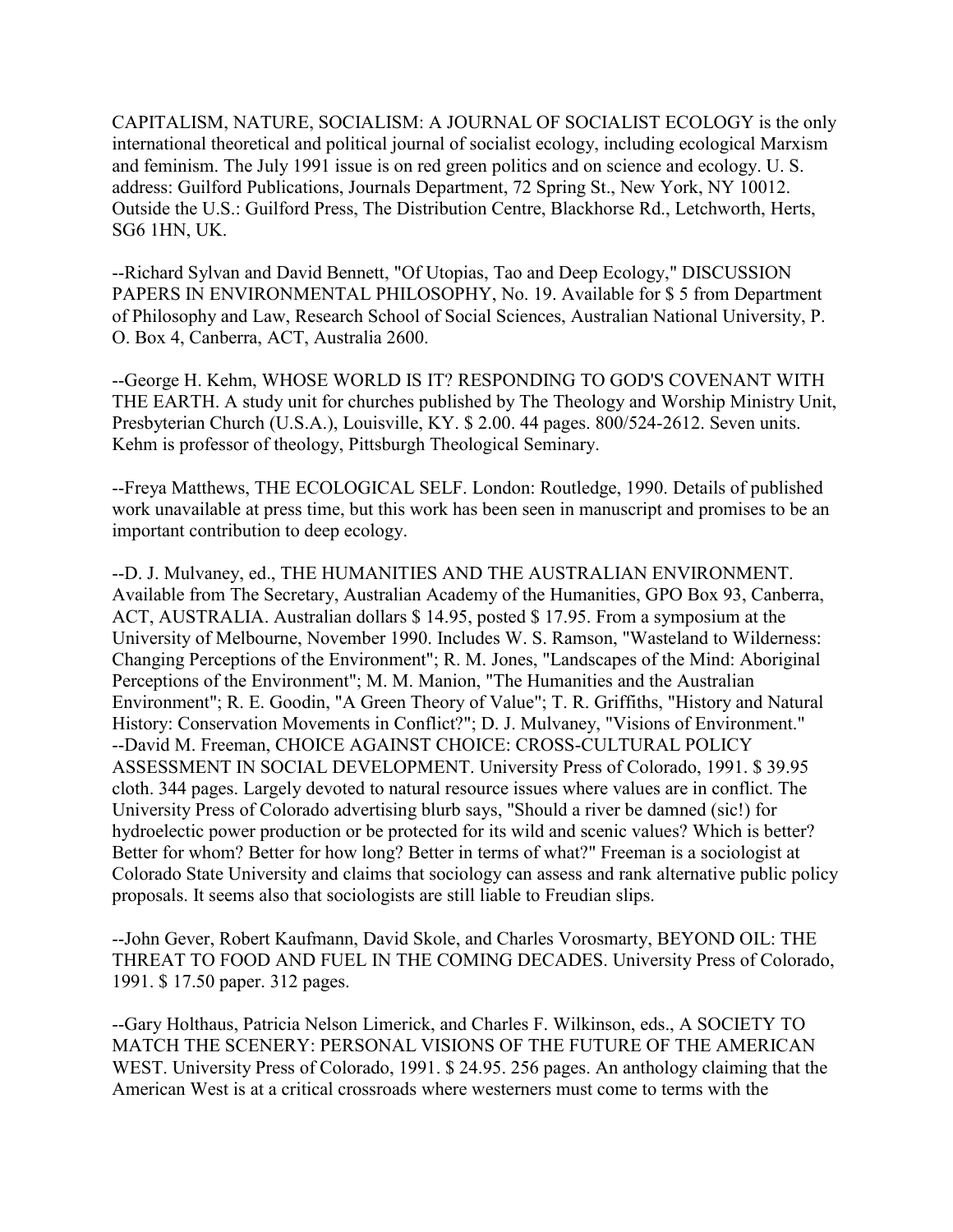CAPITALISM, NATURE, SOCIALISM: A JOURNAL OF SOCIALIST ECOLOGY is the only international theoretical and political journal of socialist ecology, including ecological Marxism and feminism. The July 1991 issue is on red green politics and on science and ecology. U. S. address: Guilford Publications, Journals Department, 72 Spring St., New York, NY 10012. Outside the U.S.: Guilford Press, The Distribution Centre, Blackhorse Rd., Letchworth, Herts, SG6 1HN, UK.

--Richard Sylvan and David Bennett, "Of Utopias, Tao and Deep Ecology," DISCUSSION PAPERS IN ENVIRONMENTAL PHILOSOPHY, No. 19. Available for \$ 5 from Department of Philosophy and Law, Research School of Social Sciences, Australian National University, P. O. Box 4, Canberra, ACT, Australia 2600.

--George H. Kehm, WHOSE WORLD IS IT? RESPONDING TO GOD'S COVENANT WITH THE EARTH. A study unit for churches published by The Theology and Worship Ministry Unit, Presbyterian Church (U.S.A.), Louisville, KY. \$ 2.00. 44 pages. 800/524-2612. Seven units. Kehm is professor of theology, Pittsburgh Theological Seminary.

--Freya Matthews, THE ECOLOGICAL SELF. London: Routledge, 1990. Details of published work unavailable at press time, but this work has been seen in manuscript and promises to be an important contribution to deep ecology.

--D. J. Mulvaney, ed., THE HUMANITIES AND THE AUSTRALIAN ENVIRONMENT. Available from The Secretary, Australian Academy of the Humanities, GPO Box 93, Canberra, ACT, AUSTRALIA. Australian dollars \$ 14.95, posted \$ 17.95. From a symposium at the University of Melbourne, November 1990. Includes W. S. Ramson, "Wasteland to Wilderness: Changing Perceptions of the Environment"; R. M. Jones, "Landscapes of the Mind: Aboriginal Perceptions of the Environment"; M. M. Manion, "The Humanities and the Australian Environment"; R. E. Goodin, "A Green Theory of Value"; T. R. Griffiths, "History and Natural History: Conservation Movements in Conflict?"; D. J. Mulvaney, "Visions of Environment." --David M. Freeman, CHOICE AGAINST CHOICE: CROSS-CULTURAL POLICY ASSESSMENT IN SOCIAL DEVELOPMENT. University Press of Colorado, 1991. \$ 39.95 cloth. 344 pages. Largely devoted to natural resource issues where values are in conflict. The University Press of Colorado advertising blurb says, "Should a river be damned (sic!) for hydroelectic power production or be protected for its wild and scenic values? Which is better? Better for whom? Better for how long? Better in terms of what?" Freeman is a sociologist at Colorado State University and claims that sociology can assess and rank alternative public policy proposals. It seems also that sociologists are still liable to Freudian slips.

--John Gever, Robert Kaufmann, David Skole, and Charles Vorosmarty, BEYOND OIL: THE THREAT TO FOOD AND FUEL IN THE COMING DECADES. University Press of Colorado, 1991. \$ 17.50 paper. 312 pages.

--Gary Holthaus, Patricia Nelson Limerick, and Charles F. Wilkinson, eds., A SOCIETY TO MATCH THE SCENERY: PERSONAL VISIONS OF THE FUTURE OF THE AMERICAN WEST. University Press of Colorado, 1991. \$ 24.95. 256 pages. An anthology claiming that the American West is at a critical crossroads where westerners must come to terms with the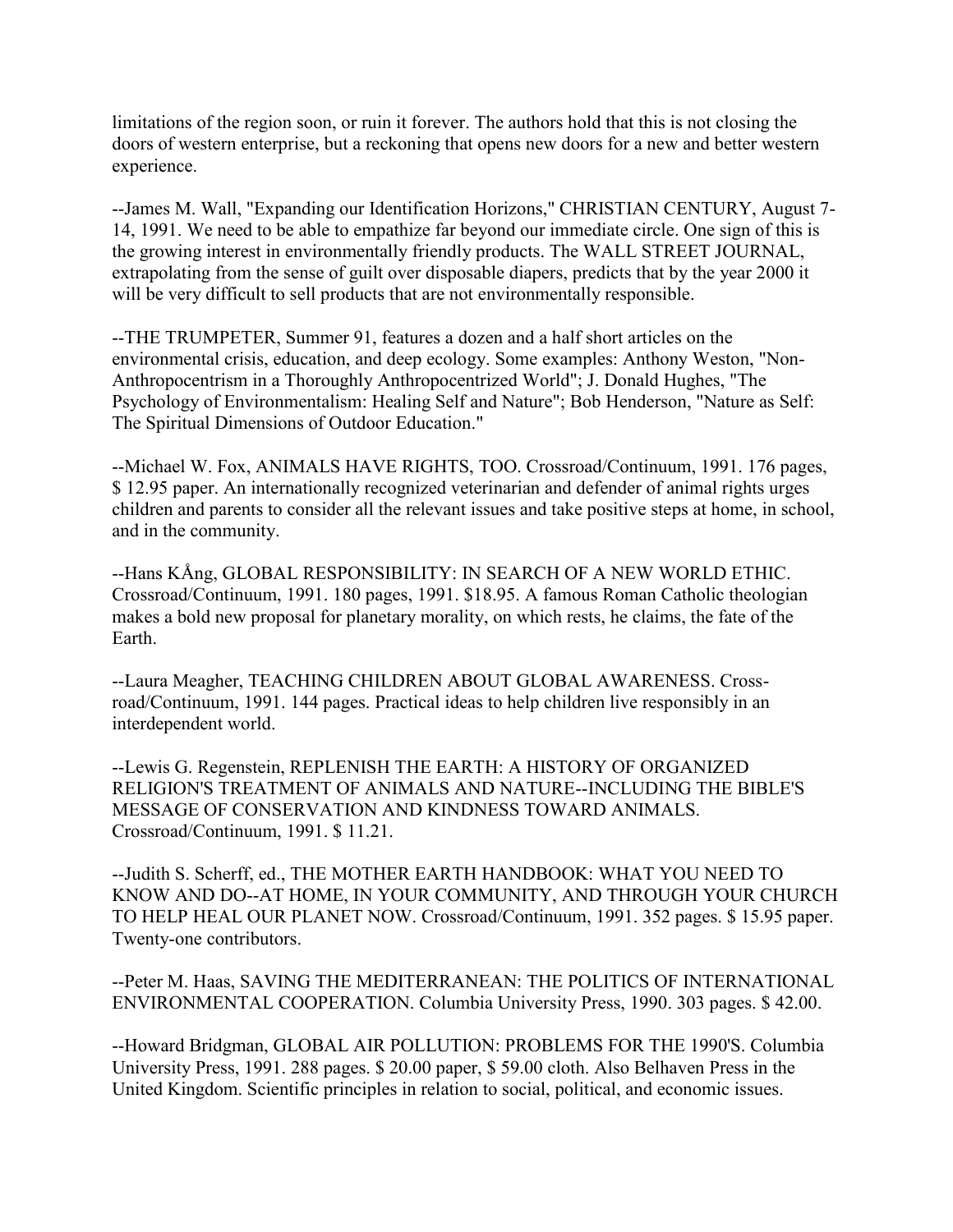limitations of the region soon, or ruin it forever. The authors hold that this is not closing the doors of western enterprise, but a reckoning that opens new doors for a new and better western experience.

--James M. Wall, "Expanding our Identification Horizons," CHRISTIAN CENTURY, August 7- 14, 1991. We need to be able to empathize far beyond our immediate circle. One sign of this is the growing interest in environmentally friendly products. The WALL STREET JOURNAL, extrapolating from the sense of guilt over disposable diapers, predicts that by the year 2000 it will be very difficult to sell products that are not environmentally responsible.

--THE TRUMPETER, Summer 91, features a dozen and a half short articles on the environmental crisis, education, and deep ecology. Some examples: Anthony Weston, "Non-Anthropocentrism in a Thoroughly Anthropocentrized World"; J. Donald Hughes, "The Psychology of Environmentalism: Healing Self and Nature"; Bob Henderson, "Nature as Self: The Spiritual Dimensions of Outdoor Education."

--Michael W. Fox, ANIMALS HAVE RIGHTS, TOO. Crossroad/Continuum, 1991. 176 pages, \$ 12.95 paper. An internationally recognized veterinarian and defender of animal rights urges children and parents to consider all the relevant issues and take positive steps at home, in school, and in the community.

--Hans KÅng, GLOBAL RESPONSIBILITY: IN SEARCH OF A NEW WORLD ETHIC. Crossroad/Continuum, 1991. 180 pages, 1991. \$18.95. A famous Roman Catholic theologian makes a bold new proposal for planetary morality, on which rests, he claims, the fate of the **Earth** 

--Laura Meagher, TEACHING CHILDREN ABOUT GLOBAL AWARENESS. Crossroad/Continuum, 1991. 144 pages. Practical ideas to help children live responsibly in an interdependent world.

--Lewis G. Regenstein, REPLENISH THE EARTH: A HISTORY OF ORGANIZED RELIGION'S TREATMENT OF ANIMALS AND NATURE--INCLUDING THE BIBLE'S MESSAGE OF CONSERVATION AND KINDNESS TOWARD ANIMALS. Crossroad/Continuum, 1991. \$ 11.21.

--Judith S. Scherff, ed., THE MOTHER EARTH HANDBOOK: WHAT YOU NEED TO KNOW AND DO--AT HOME, IN YOUR COMMUNITY, AND THROUGH YOUR CHURCH TO HELP HEAL OUR PLANET NOW. Crossroad/Continuum, 1991. 352 pages. \$ 15.95 paper. Twenty-one contributors.

--Peter M. Haas, SAVING THE MEDITERRANEAN: THE POLITICS OF INTERNATIONAL ENVIRONMENTAL COOPERATION. Columbia University Press, 1990. 303 pages. \$ 42.00.

--Howard Bridgman, GLOBAL AIR POLLUTION: PROBLEMS FOR THE 1990'S. Columbia University Press, 1991. 288 pages. \$ 20.00 paper, \$ 59.00 cloth. Also Belhaven Press in the United Kingdom. Scientific principles in relation to social, political, and economic issues.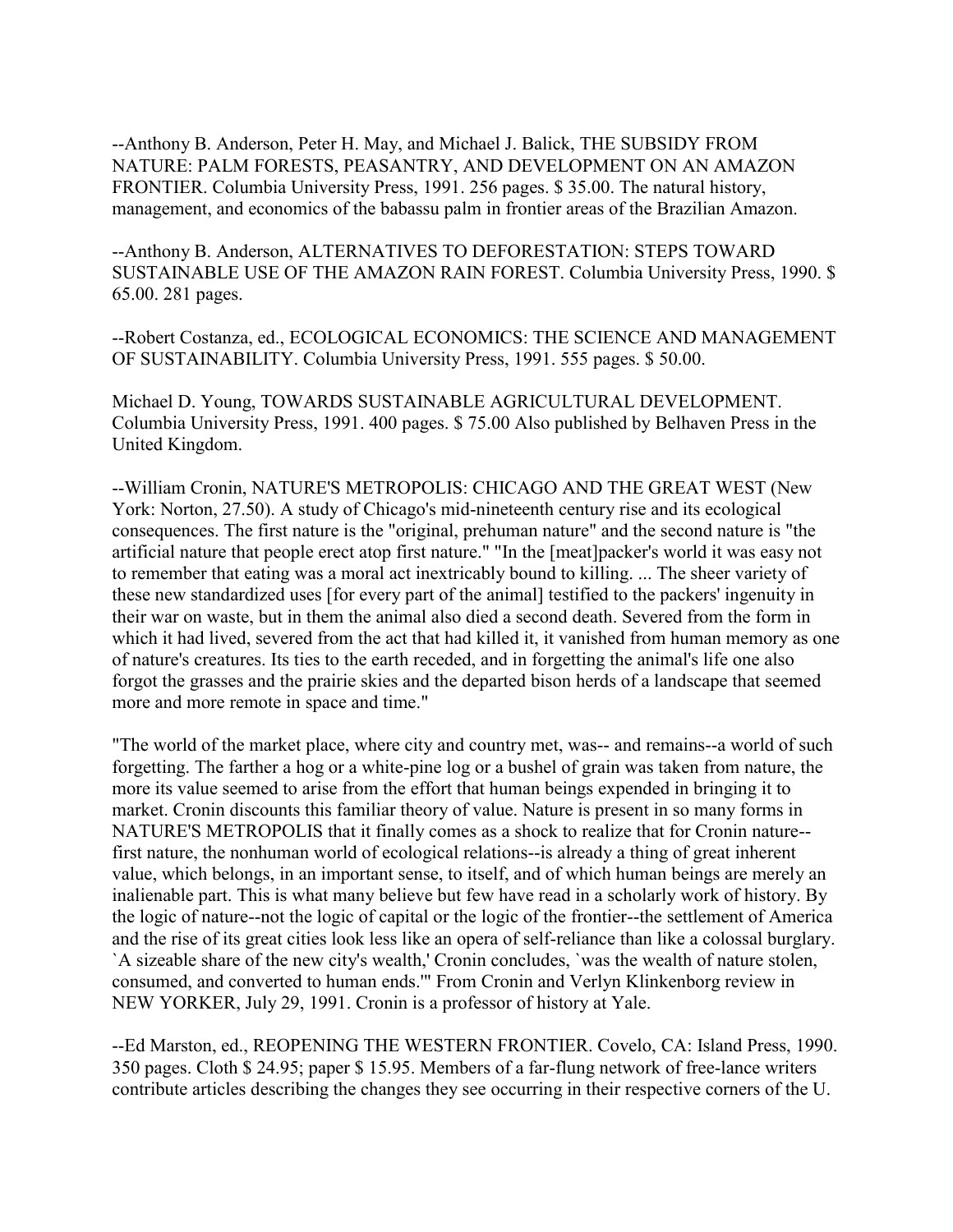--Anthony B. Anderson, Peter H. May, and Michael J. Balick, THE SUBSIDY FROM NATURE: PALM FORESTS, PEASANTRY, AND DEVELOPMENT ON AN AMAZON FRONTIER. Columbia University Press, 1991. 256 pages. \$ 35.00. The natural history, management, and economics of the babassu palm in frontier areas of the Brazilian Amazon.

--Anthony B. Anderson, ALTERNATIVES TO DEFORESTATION: STEPS TOWARD SUSTAINABLE USE OF THE AMAZON RAIN FOREST. Columbia University Press, 1990. \$ 65.00. 281 pages.

--Robert Costanza, ed., ECOLOGICAL ECONOMICS: THE SCIENCE AND MANAGEMENT OF SUSTAINABILITY. Columbia University Press, 1991. 555 pages. \$ 50.00.

Michael D. Young, TOWARDS SUSTAINABLE AGRICULTURAL DEVELOPMENT. Columbia University Press, 1991. 400 pages. \$ 75.00 Also published by Belhaven Press in the United Kingdom.

--William Cronin, NATURE'S METROPOLIS: CHICAGO AND THE GREAT WEST (New York: Norton, 27.50). A study of Chicago's mid-nineteenth century rise and its ecological consequences. The first nature is the "original, prehuman nature" and the second nature is "the artificial nature that people erect atop first nature." "In the [meat]packer's world it was easy not to remember that eating was a moral act inextricably bound to killing. ... The sheer variety of these new standardized uses [for every part of the animal] testified to the packers' ingenuity in their war on waste, but in them the animal also died a second death. Severed from the form in which it had lived, severed from the act that had killed it, it vanished from human memory as one of nature's creatures. Its ties to the earth receded, and in forgetting the animal's life one also forgot the grasses and the prairie skies and the departed bison herds of a landscape that seemed more and more remote in space and time."

"The world of the market place, where city and country met, was-- and remains--a world of such forgetting. The farther a hog or a white-pine log or a bushel of grain was taken from nature, the more its value seemed to arise from the effort that human beings expended in bringing it to market. Cronin discounts this familiar theory of value. Nature is present in so many forms in NATURE'S METROPOLIS that it finally comes as a shock to realize that for Cronin nature- first nature, the nonhuman world of ecological relations--is already a thing of great inherent value, which belongs, in an important sense, to itself, and of which human beings are merely an inalienable part. This is what many believe but few have read in a scholarly work of history. By the logic of nature--not the logic of capital or the logic of the frontier--the settlement of America and the rise of its great cities look less like an opera of self-reliance than like a colossal burglary. `A sizeable share of the new city's wealth,' Cronin concludes, `was the wealth of nature stolen, consumed, and converted to human ends.'" From Cronin and Verlyn Klinkenborg review in NEW YORKER, July 29, 1991. Cronin is a professor of history at Yale.

--Ed Marston, ed., REOPENING THE WESTERN FRONTIER. Covelo, CA: Island Press, 1990. 350 pages. Cloth \$ 24.95; paper \$ 15.95. Members of a far-flung network of free-lance writers contribute articles describing the changes they see occurring in their respective corners of the U.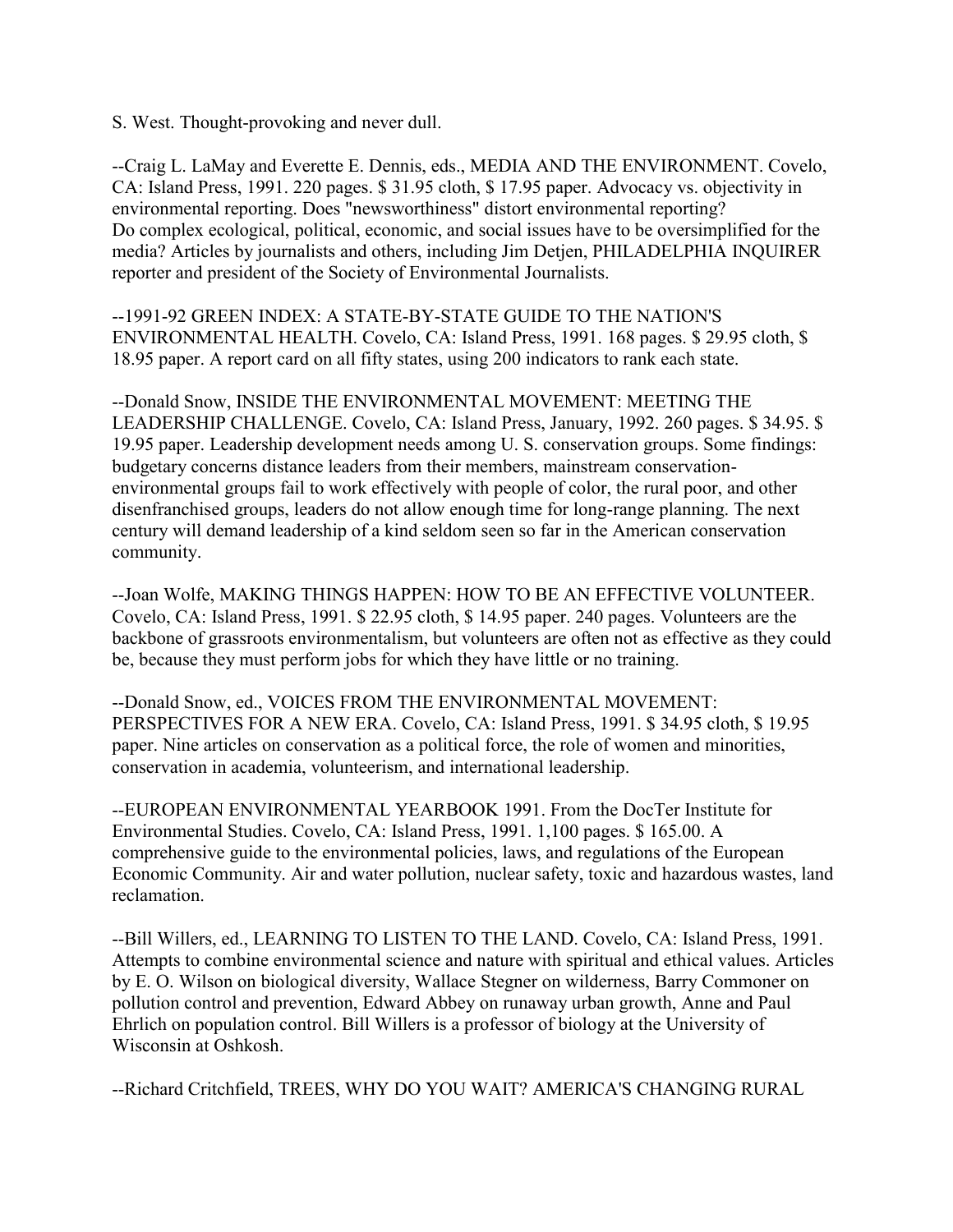S. West. Thought-provoking and never dull.

--Craig L. LaMay and Everette E. Dennis, eds., MEDIA AND THE ENVIRONMENT. Covelo, CA: Island Press, 1991. 220 pages. \$ 31.95 cloth, \$ 17.95 paper. Advocacy vs. objectivity in environmental reporting. Does "newsworthiness" distort environmental reporting? Do complex ecological, political, economic, and social issues have to be oversimplified for the media? Articles by journalists and others, including Jim Detjen, PHILADELPHIA INQUIRER reporter and president of the Society of Environmental Journalists.

--1991-92 GREEN INDEX: A STATE-BY-STATE GUIDE TO THE NATION'S ENVIRONMENTAL HEALTH. Covelo, CA: Island Press, 1991. 168 pages. \$ 29.95 cloth, \$ 18.95 paper. A report card on all fifty states, using 200 indicators to rank each state.

--Donald Snow, INSIDE THE ENVIRONMENTAL MOVEMENT: MEETING THE LEADERSHIP CHALLENGE. Covelo, CA: Island Press, January, 1992. 260 pages. \$ 34.95. \$ 19.95 paper. Leadership development needs among U. S. conservation groups. Some findings: budgetary concerns distance leaders from their members, mainstream conservationenvironmental groups fail to work effectively with people of color, the rural poor, and other disenfranchised groups, leaders do not allow enough time for long-range planning. The next century will demand leadership of a kind seldom seen so far in the American conservation community.

--Joan Wolfe, MAKING THINGS HAPPEN: HOW TO BE AN EFFECTIVE VOLUNTEER. Covelo, CA: Island Press, 1991. \$ 22.95 cloth, \$ 14.95 paper. 240 pages. Volunteers are the backbone of grassroots environmentalism, but volunteers are often not as effective as they could be, because they must perform jobs for which they have little or no training.

--Donald Snow, ed., VOICES FROM THE ENVIRONMENTAL MOVEMENT: PERSPECTIVES FOR A NEW ERA. Covelo, CA: Island Press, 1991. \$ 34.95 cloth, \$ 19.95 paper. Nine articles on conservation as a political force, the role of women and minorities, conservation in academia, volunteerism, and international leadership.

--EUROPEAN ENVIRONMENTAL YEARBOOK 1991. From the DocTer Institute for Environmental Studies. Covelo, CA: Island Press, 1991. 1,100 pages. \$ 165.00. A comprehensive guide to the environmental policies, laws, and regulations of the European Economic Community. Air and water pollution, nuclear safety, toxic and hazardous wastes, land reclamation.

--Bill Willers, ed., LEARNING TO LISTEN TO THE LAND. Covelo, CA: Island Press, 1991. Attempts to combine environmental science and nature with spiritual and ethical values. Articles by E. O. Wilson on biological diversity, Wallace Stegner on wilderness, Barry Commoner on pollution control and prevention, Edward Abbey on runaway urban growth, Anne and Paul Ehrlich on population control. Bill Willers is a professor of biology at the University of Wisconsin at Oshkosh.

--Richard Critchfield, TREES, WHY DO YOU WAIT? AMERICA'S CHANGING RURAL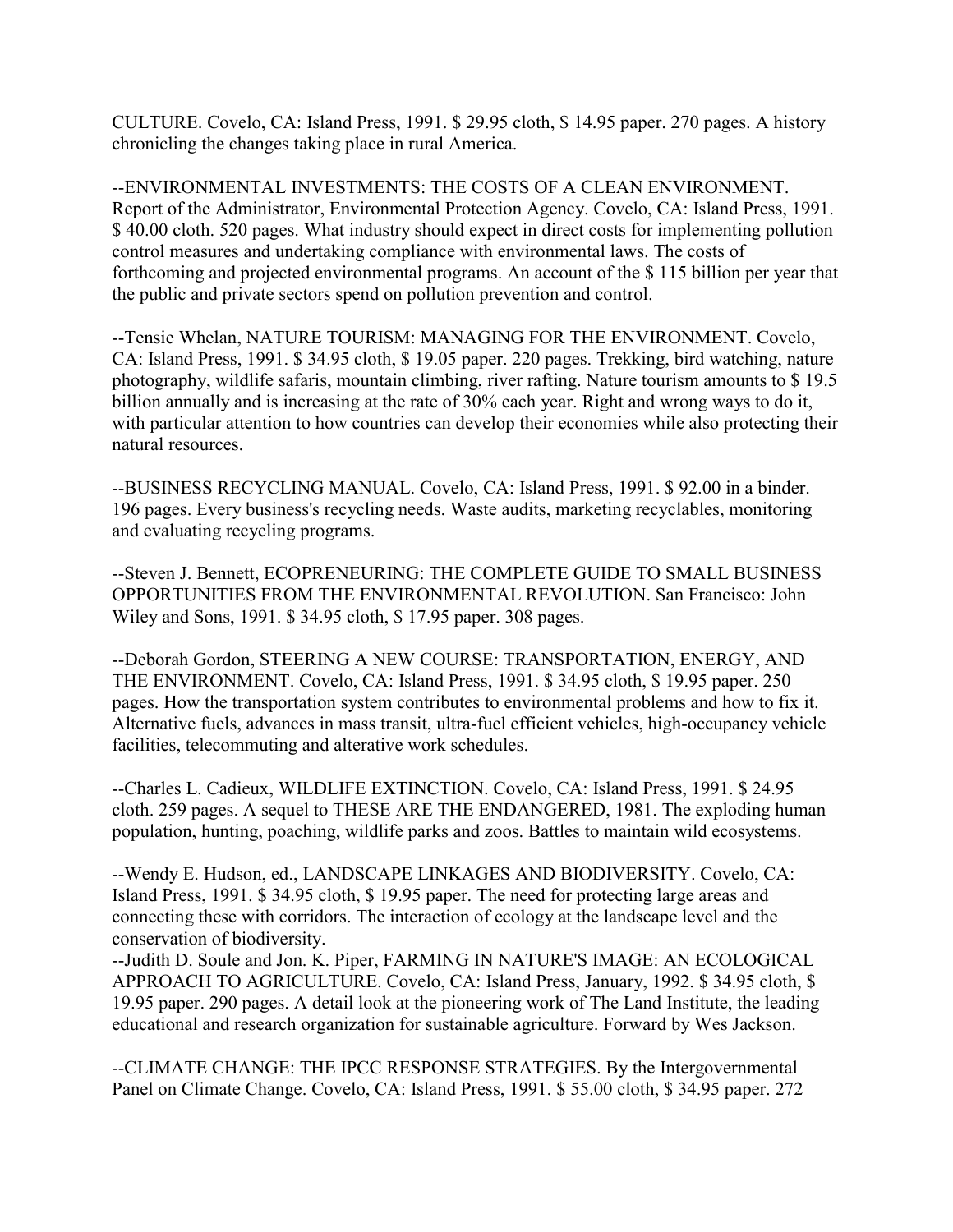CULTURE. Covelo, CA: Island Press, 1991. \$ 29.95 cloth, \$ 14.95 paper. 270 pages. A history chronicling the changes taking place in rural America.

--ENVIRONMENTAL INVESTMENTS: THE COSTS OF A CLEAN ENVIRONMENT. Report of the Administrator, Environmental Protection Agency. Covelo, CA: Island Press, 1991. \$ 40.00 cloth. 520 pages. What industry should expect in direct costs for implementing pollution control measures and undertaking compliance with environmental laws. The costs of forthcoming and projected environmental programs. An account of the \$ 115 billion per year that the public and private sectors spend on pollution prevention and control.

--Tensie Whelan, NATURE TOURISM: MANAGING FOR THE ENVIRONMENT. Covelo, CA: Island Press, 1991. \$ 34.95 cloth, \$ 19.05 paper. 220 pages. Trekking, bird watching, nature photography, wildlife safaris, mountain climbing, river rafting. Nature tourism amounts to \$ 19.5 billion annually and is increasing at the rate of 30% each year. Right and wrong ways to do it, with particular attention to how countries can develop their economies while also protecting their natural resources.

--BUSINESS RECYCLING MANUAL. Covelo, CA: Island Press, 1991. \$ 92.00 in a binder. 196 pages. Every business's recycling needs. Waste audits, marketing recyclables, monitoring and evaluating recycling programs.

--Steven J. Bennett, ECOPRENEURING: THE COMPLETE GUIDE TO SMALL BUSINESS OPPORTUNITIES FROM THE ENVIRONMENTAL REVOLUTION. San Francisco: John Wiley and Sons, 1991. \$ 34.95 cloth, \$ 17.95 paper. 308 pages.

--Deborah Gordon, STEERING A NEW COURSE: TRANSPORTATION, ENERGY, AND THE ENVIRONMENT. Covelo, CA: Island Press, 1991. \$ 34.95 cloth, \$ 19.95 paper. 250 pages. How the transportation system contributes to environmental problems and how to fix it. Alternative fuels, advances in mass transit, ultra-fuel efficient vehicles, high-occupancy vehicle facilities, telecommuting and alterative work schedules.

--Charles L. Cadieux, WILDLIFE EXTINCTION. Covelo, CA: Island Press, 1991. \$ 24.95 cloth. 259 pages. A sequel to THESE ARE THE ENDANGERED, 1981. The exploding human population, hunting, poaching, wildlife parks and zoos. Battles to maintain wild ecosystems.

--Wendy E. Hudson, ed., LANDSCAPE LINKAGES AND BIODIVERSITY. Covelo, CA: Island Press, 1991. \$ 34.95 cloth, \$ 19.95 paper. The need for protecting large areas and connecting these with corridors. The interaction of ecology at the landscape level and the conservation of biodiversity.

--Judith D. Soule and Jon. K. Piper, FARMING IN NATURE'S IMAGE: AN ECOLOGICAL APPROACH TO AGRICULTURE. Covelo, CA: Island Press, January, 1992. \$ 34.95 cloth, \$ 19.95 paper. 290 pages. A detail look at the pioneering work of The Land Institute, the leading educational and research organization for sustainable agriculture. Forward by Wes Jackson.

--CLIMATE CHANGE: THE IPCC RESPONSE STRATEGIES. By the Intergovernmental Panel on Climate Change. Covelo, CA: Island Press, 1991. \$ 55.00 cloth, \$ 34.95 paper. 272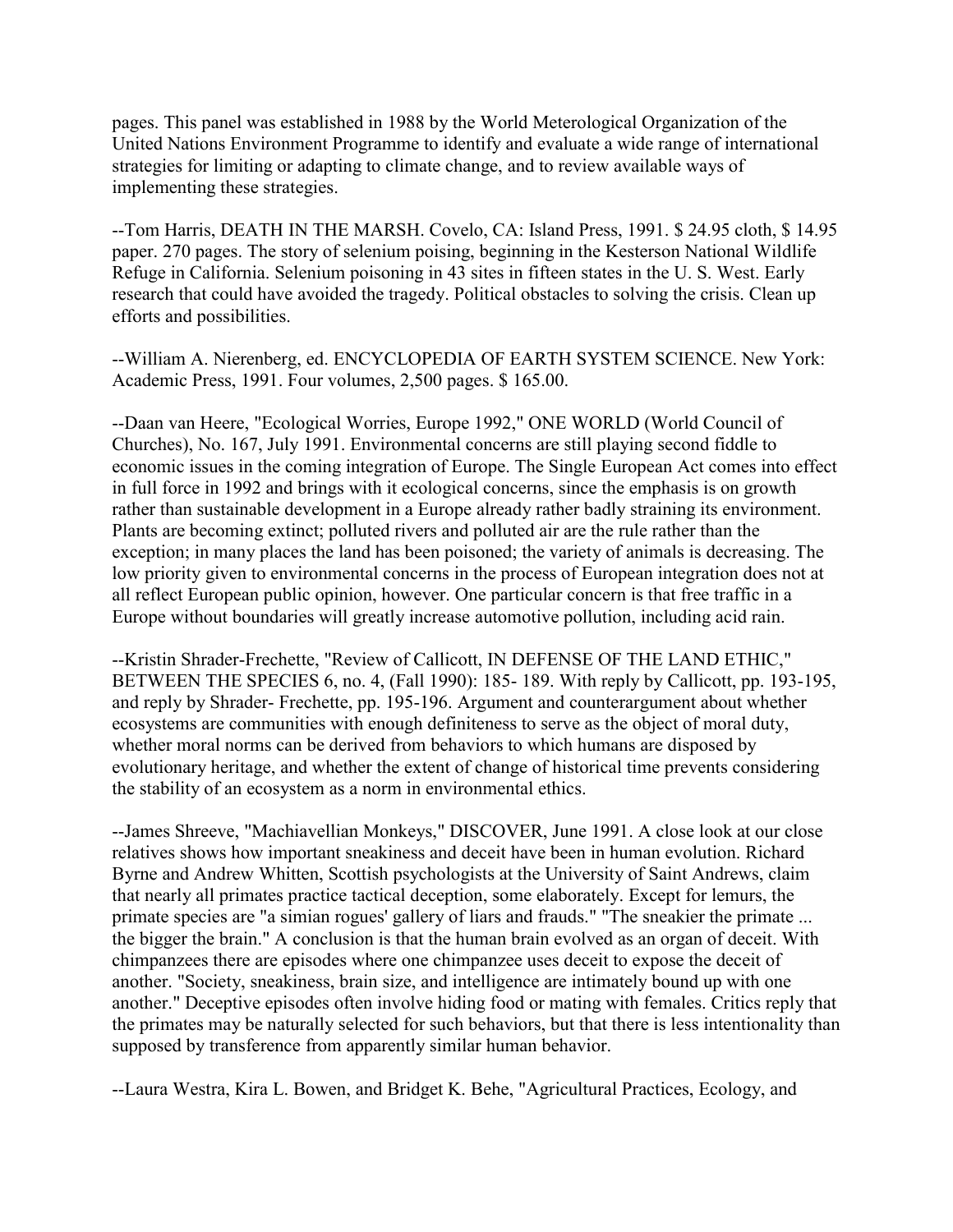pages. This panel was established in 1988 by the World Meterological Organization of the United Nations Environment Programme to identify and evaluate a wide range of international strategies for limiting or adapting to climate change, and to review available ways of implementing these strategies.

--Tom Harris, DEATH IN THE MARSH. Covelo, CA: Island Press, 1991. \$ 24.95 cloth, \$ 14.95 paper. 270 pages. The story of selenium poising, beginning in the Kesterson National Wildlife Refuge in California. Selenium poisoning in 43 sites in fifteen states in the U. S. West. Early research that could have avoided the tragedy. Political obstacles to solving the crisis. Clean up efforts and possibilities.

--William A. Nierenberg, ed. ENCYCLOPEDIA OF EARTH SYSTEM SCIENCE. New York: Academic Press, 1991. Four volumes, 2,500 pages. \$ 165.00.

--Daan van Heere, "Ecological Worries, Europe 1992," ONE WORLD (World Council of Churches), No. 167, July 1991. Environmental concerns are still playing second fiddle to economic issues in the coming integration of Europe. The Single European Act comes into effect in full force in 1992 and brings with it ecological concerns, since the emphasis is on growth rather than sustainable development in a Europe already rather badly straining its environment. Plants are becoming extinct; polluted rivers and polluted air are the rule rather than the exception; in many places the land has been poisoned; the variety of animals is decreasing. The low priority given to environmental concerns in the process of European integration does not at all reflect European public opinion, however. One particular concern is that free traffic in a Europe without boundaries will greatly increase automotive pollution, including acid rain.

--Kristin Shrader-Frechette, "Review of Callicott, IN DEFENSE OF THE LAND ETHIC," BETWEEN THE SPECIES 6, no. 4, (Fall 1990): 185- 189. With reply by Callicott, pp. 193-195, and reply by Shrader- Frechette, pp. 195-196. Argument and counterargument about whether ecosystems are communities with enough definiteness to serve as the object of moral duty, whether moral norms can be derived from behaviors to which humans are disposed by evolutionary heritage, and whether the extent of change of historical time prevents considering the stability of an ecosystem as a norm in environmental ethics.

--James Shreeve, "Machiavellian Monkeys," DISCOVER, June 1991. A close look at our close relatives shows how important sneakiness and deceit have been in human evolution. Richard Byrne and Andrew Whitten, Scottish psychologists at the University of Saint Andrews, claim that nearly all primates practice tactical deception, some elaborately. Except for lemurs, the primate species are "a simian rogues' gallery of liars and frauds." "The sneakier the primate ... the bigger the brain." A conclusion is that the human brain evolved as an organ of deceit. With chimpanzees there are episodes where one chimpanzee uses deceit to expose the deceit of another. "Society, sneakiness, brain size, and intelligence are intimately bound up with one another." Deceptive episodes often involve hiding food or mating with females. Critics reply that the primates may be naturally selected for such behaviors, but that there is less intentionality than supposed by transference from apparently similar human behavior.

--Laura Westra, Kira L. Bowen, and Bridget K. Behe, "Agricultural Practices, Ecology, and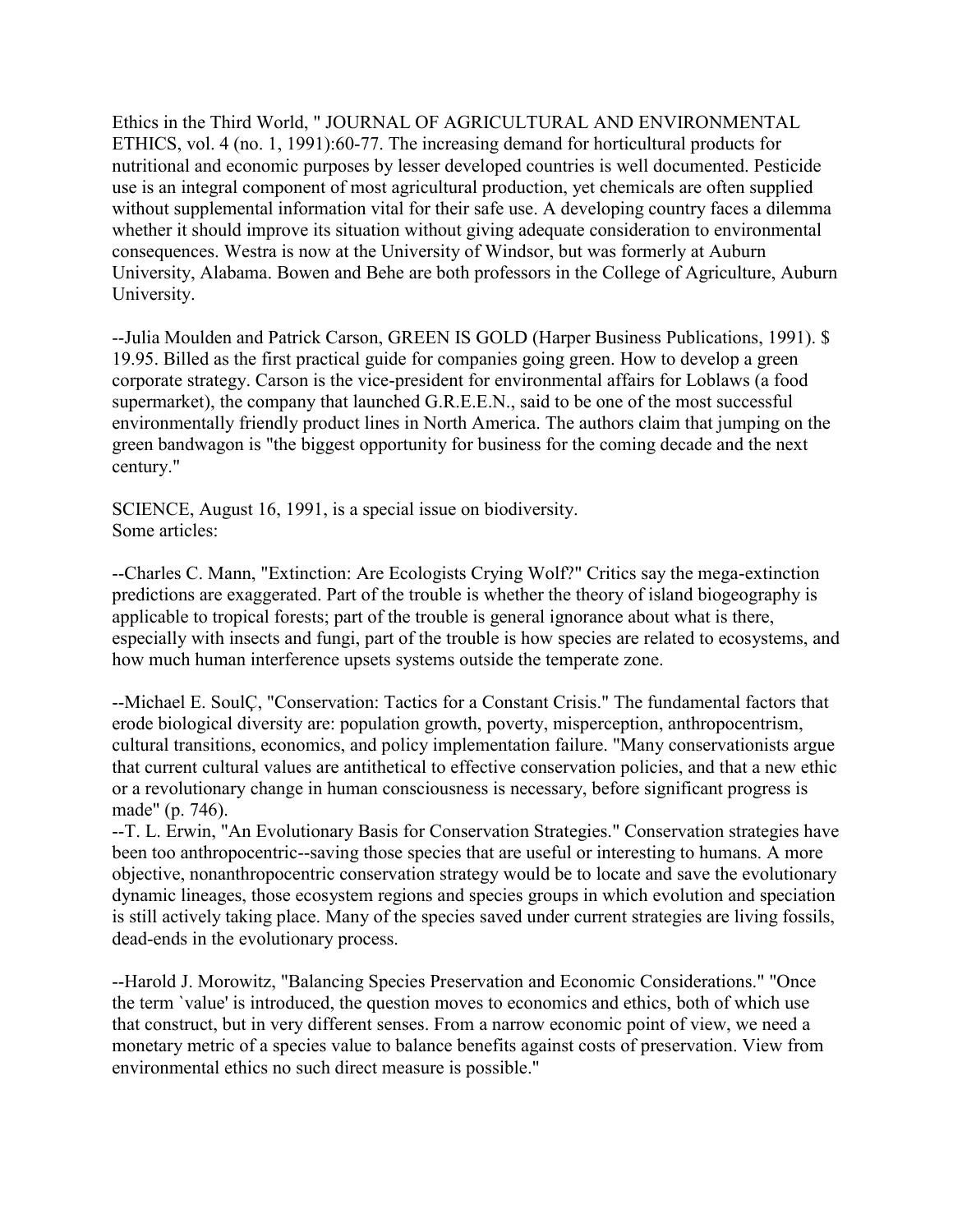Ethics in the Third World, " JOURNAL OF AGRICULTURAL AND ENVIRONMENTAL ETHICS, vol. 4 (no. 1, 1991):60-77. The increasing demand for horticultural products for nutritional and economic purposes by lesser developed countries is well documented. Pesticide use is an integral component of most agricultural production, yet chemicals are often supplied without supplemental information vital for their safe use. A developing country faces a dilemma whether it should improve its situation without giving adequate consideration to environmental consequences. Westra is now at the University of Windsor, but was formerly at Auburn University, Alabama. Bowen and Behe are both professors in the College of Agriculture, Auburn University.

--Julia Moulden and Patrick Carson, GREEN IS GOLD (Harper Business Publications, 1991). \$ 19.95. Billed as the first practical guide for companies going green. How to develop a green corporate strategy. Carson is the vice-president for environmental affairs for Loblaws (a food supermarket), the company that launched G.R.E.E.N., said to be one of the most successful environmentally friendly product lines in North America. The authors claim that jumping on the green bandwagon is "the biggest opportunity for business for the coming decade and the next century."

SCIENCE, August 16, 1991, is a special issue on biodiversity. Some articles:

--Charles C. Mann, "Extinction: Are Ecologists Crying Wolf?" Critics say the mega-extinction predictions are exaggerated. Part of the trouble is whether the theory of island biogeography is applicable to tropical forests; part of the trouble is general ignorance about what is there, especially with insects and fungi, part of the trouble is how species are related to ecosystems, and how much human interference upsets systems outside the temperate zone.

--Michael E. SoulÇ, "Conservation: Tactics for a Constant Crisis." The fundamental factors that erode biological diversity are: population growth, poverty, misperception, anthropocentrism, cultural transitions, economics, and policy implementation failure. "Many conservationists argue that current cultural values are antithetical to effective conservation policies, and that a new ethic or a revolutionary change in human consciousness is necessary, before significant progress is made" (p. 746).

--T. L. Erwin, "An Evolutionary Basis for Conservation Strategies." Conservation strategies have been too anthropocentric--saving those species that are useful or interesting to humans. A more objective, nonanthropocentric conservation strategy would be to locate and save the evolutionary dynamic lineages, those ecosystem regions and species groups in which evolution and speciation is still actively taking place. Many of the species saved under current strategies are living fossils, dead-ends in the evolutionary process.

--Harold J. Morowitz, "Balancing Species Preservation and Economic Considerations." "Once the term `value' is introduced, the question moves to economics and ethics, both of which use that construct, but in very different senses. From a narrow economic point of view, we need a monetary metric of a species value to balance benefits against costs of preservation. View from environmental ethics no such direct measure is possible."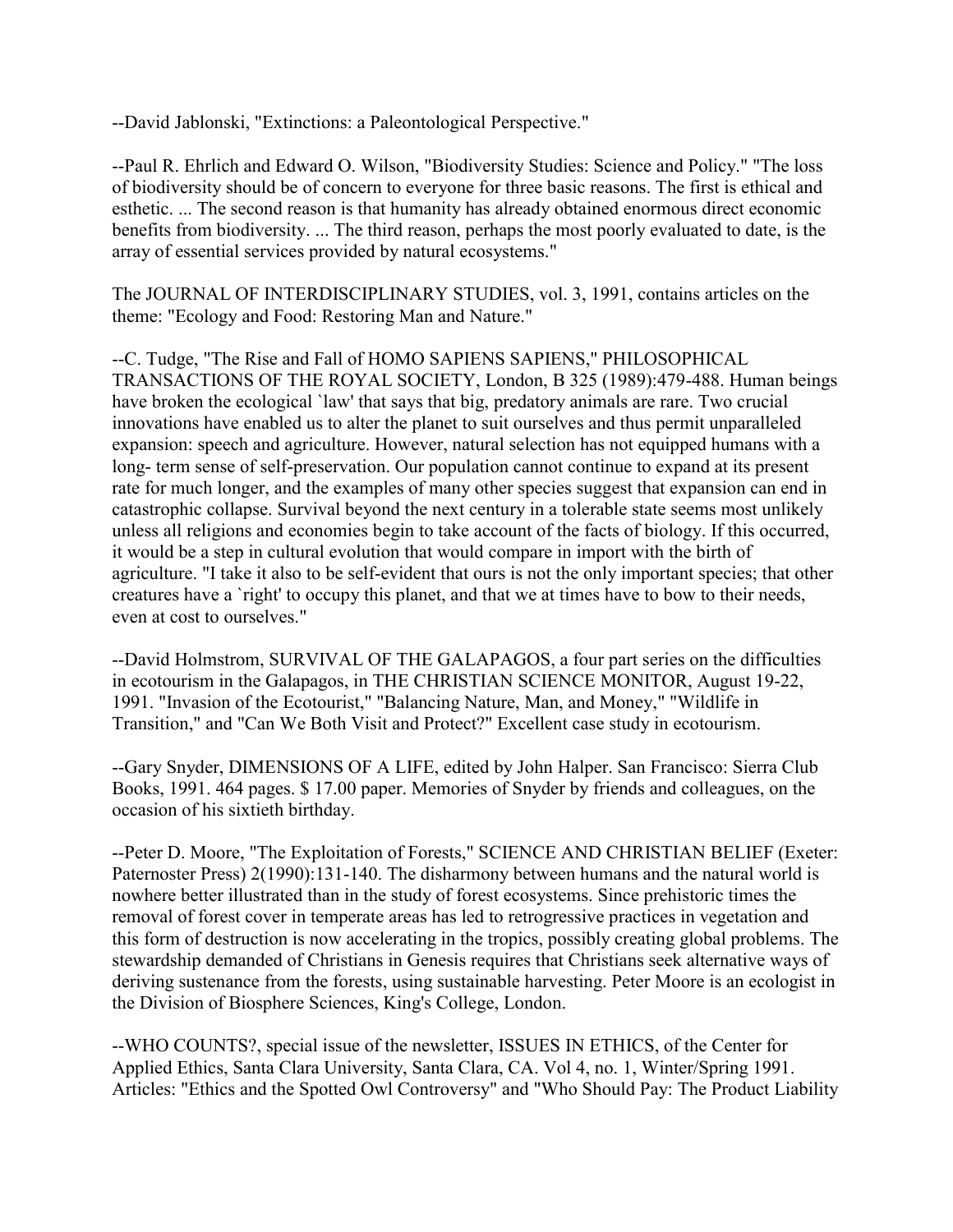--David Jablonski, "Extinctions: a Paleontological Perspective."

--Paul R. Ehrlich and Edward O. Wilson, "Biodiversity Studies: Science and Policy." "The loss of biodiversity should be of concern to everyone for three basic reasons. The first is ethical and esthetic. ... The second reason is that humanity has already obtained enormous direct economic benefits from biodiversity. ... The third reason, perhaps the most poorly evaluated to date, is the array of essential services provided by natural ecosystems."

The JOURNAL OF INTERDISCIPLINARY STUDIES, vol. 3, 1991, contains articles on the theme: "Ecology and Food: Restoring Man and Nature."

--C. Tudge, "The Rise and Fall of HOMO SAPIENS SAPIENS," PHILOSOPHICAL TRANSACTIONS OF THE ROYAL SOCIETY, London, B 325 (1989):479-488. Human beings have broken the ecological `law' that says that big, predatory animals are rare. Two crucial innovations have enabled us to alter the planet to suit ourselves and thus permit unparalleled expansion: speech and agriculture. However, natural selection has not equipped humans with a long- term sense of self-preservation. Our population cannot continue to expand at its present rate for much longer, and the examples of many other species suggest that expansion can end in catastrophic collapse. Survival beyond the next century in a tolerable state seems most unlikely unless all religions and economies begin to take account of the facts of biology. If this occurred, it would be a step in cultural evolution that would compare in import with the birth of agriculture. "I take it also to be self-evident that ours is not the only important species; that other creatures have a `right' to occupy this planet, and that we at times have to bow to their needs, even at cost to ourselves."

--David Holmstrom, SURVIVAL OF THE GALAPAGOS, a four part series on the difficulties in ecotourism in the Galapagos, in THE CHRISTIAN SCIENCE MONITOR, August 19-22, 1991. "Invasion of the Ecotourist," "Balancing Nature, Man, and Money," "Wildlife in Transition," and "Can We Both Visit and Protect?" Excellent case study in ecotourism.

--Gary Snyder, DIMENSIONS OF A LIFE, edited by John Halper. San Francisco: Sierra Club Books, 1991. 464 pages. \$ 17.00 paper. Memories of Snyder by friends and colleagues, on the occasion of his sixtieth birthday.

--Peter D. Moore, "The Exploitation of Forests," SCIENCE AND CHRISTIAN BELIEF (Exeter: Paternoster Press) 2(1990):131-140. The disharmony between humans and the natural world is nowhere better illustrated than in the study of forest ecosystems. Since prehistoric times the removal of forest cover in temperate areas has led to retrogressive practices in vegetation and this form of destruction is now accelerating in the tropics, possibly creating global problems. The stewardship demanded of Christians in Genesis requires that Christians seek alternative ways of deriving sustenance from the forests, using sustainable harvesting. Peter Moore is an ecologist in the Division of Biosphere Sciences, King's College, London.

--WHO COUNTS?, special issue of the newsletter, ISSUES IN ETHICS, of the Center for Applied Ethics, Santa Clara University, Santa Clara, CA. Vol 4, no. 1, Winter/Spring 1991. Articles: "Ethics and the Spotted Owl Controversy" and "Who Should Pay: The Product Liability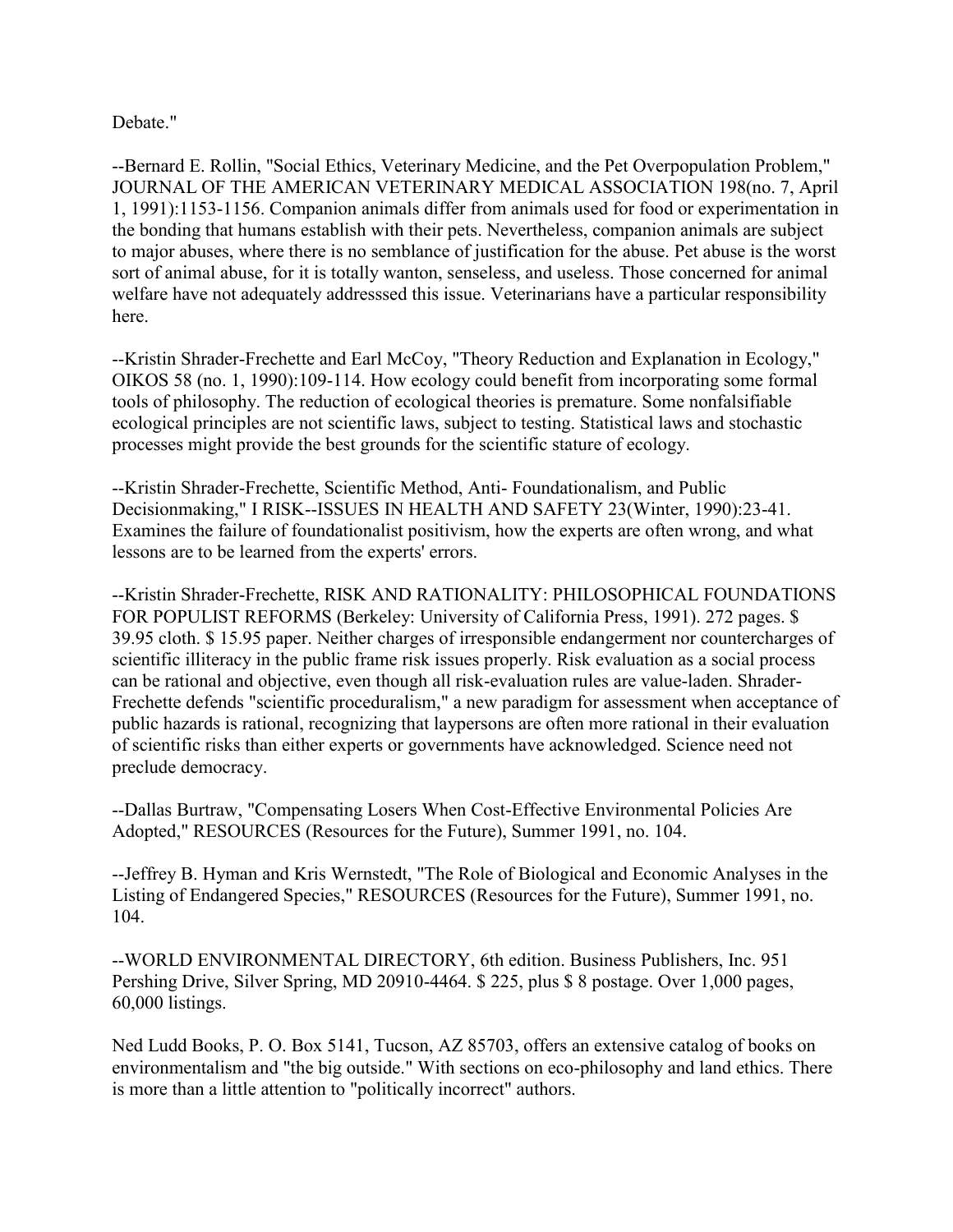Debate."

--Bernard E. Rollin, "Social Ethics, Veterinary Medicine, and the Pet Overpopulation Problem," JOURNAL OF THE AMERICAN VETERINARY MEDICAL ASSOCIATION 198(no. 7, April 1, 1991):1153-1156. Companion animals differ from animals used for food or experimentation in the bonding that humans establish with their pets. Nevertheless, companion animals are subject to major abuses, where there is no semblance of justification for the abuse. Pet abuse is the worst sort of animal abuse, for it is totally wanton, senseless, and useless. Those concerned for animal welfare have not adequately addresssed this issue. Veterinarians have a particular responsibility here.

--Kristin Shrader-Frechette and Earl McCoy, "Theory Reduction and Explanation in Ecology," OIKOS 58 (no. 1, 1990):109-114. How ecology could benefit from incorporating some formal tools of philosophy. The reduction of ecological theories is premature. Some nonfalsifiable ecological principles are not scientific laws, subject to testing. Statistical laws and stochastic processes might provide the best grounds for the scientific stature of ecology.

--Kristin Shrader-Frechette, Scientific Method, Anti- Foundationalism, and Public Decisionmaking," I RISK--ISSUES IN HEALTH AND SAFETY 23(Winter, 1990):23-41. Examines the failure of foundationalist positivism, how the experts are often wrong, and what lessons are to be learned from the experts' errors.

--Kristin Shrader-Frechette, RISK AND RATIONALITY: PHILOSOPHICAL FOUNDATIONS FOR POPULIST REFORMS (Berkeley: University of California Press, 1991). 272 pages. \$ 39.95 cloth. \$ 15.95 paper. Neither charges of irresponsible endangerment nor countercharges of scientific illiteracy in the public frame risk issues properly. Risk evaluation as a social process can be rational and objective, even though all risk-evaluation rules are value-laden. Shrader-Frechette defends "scientific proceduralism," a new paradigm for assessment when acceptance of public hazards is rational, recognizing that laypersons are often more rational in their evaluation of scientific risks than either experts or governments have acknowledged. Science need not preclude democracy.

--Dallas Burtraw, "Compensating Losers When Cost-Effective Environmental Policies Are Adopted," RESOURCES (Resources for the Future), Summer 1991, no. 104.

--Jeffrey B. Hyman and Kris Wernstedt, "The Role of Biological and Economic Analyses in the Listing of Endangered Species," RESOURCES (Resources for the Future), Summer 1991, no. 104.

--WORLD ENVIRONMENTAL DIRECTORY, 6th edition. Business Publishers, Inc. 951 Pershing Drive, Silver Spring, MD 20910-4464. \$ 225, plus \$ 8 postage. Over 1,000 pages, 60,000 listings.

Ned Ludd Books, P. O. Box 5141, Tucson, AZ 85703, offers an extensive catalog of books on environmentalism and "the big outside." With sections on eco-philosophy and land ethics. There is more than a little attention to "politically incorrect" authors.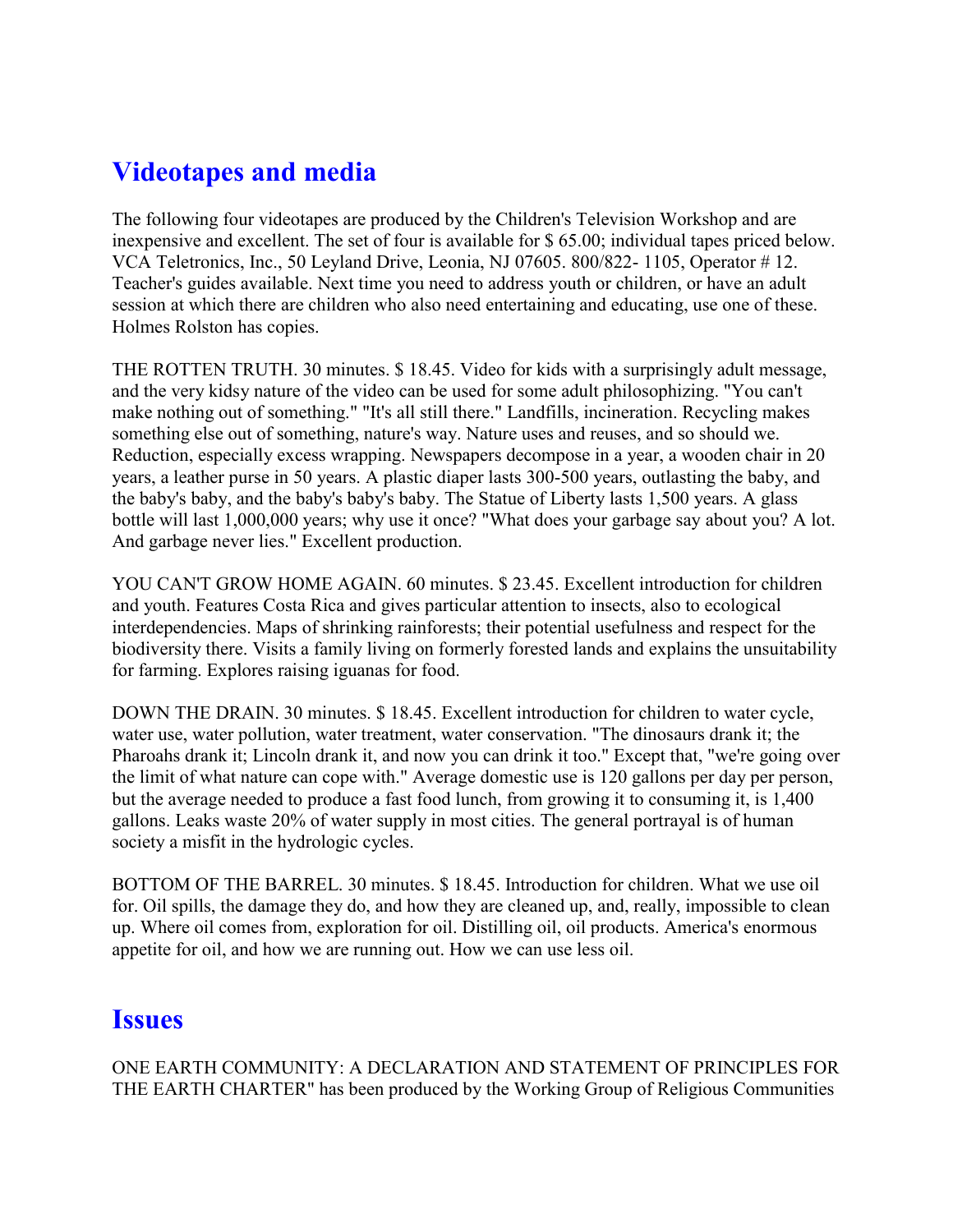# **Videotapes and media**

The following four videotapes are produced by the Children's Television Workshop and are inexpensive and excellent. The set of four is available for \$ 65.00; individual tapes priced below. VCA Teletronics, Inc., 50 Leyland Drive, Leonia, NJ 07605. 800/822- 1105, Operator # 12. Teacher's guides available. Next time you need to address youth or children, or have an adult session at which there are children who also need entertaining and educating, use one of these. Holmes Rolston has copies.

THE ROTTEN TRUTH. 30 minutes. \$ 18.45. Video for kids with a surprisingly adult message, and the very kidsy nature of the video can be used for some adult philosophizing. "You can't make nothing out of something." "It's all still there." Landfills, incineration. Recycling makes something else out of something, nature's way. Nature uses and reuses, and so should we. Reduction, especially excess wrapping. Newspapers decompose in a year, a wooden chair in 20 years, a leather purse in 50 years. A plastic diaper lasts 300-500 years, outlasting the baby, and the baby's baby, and the baby's baby's baby. The Statue of Liberty lasts 1,500 years. A glass bottle will last 1,000,000 years; why use it once? "What does your garbage say about you? A lot. And garbage never lies." Excellent production.

YOU CAN'T GROW HOME AGAIN. 60 minutes. \$ 23.45. Excellent introduction for children and youth. Features Costa Rica and gives particular attention to insects, also to ecological interdependencies. Maps of shrinking rainforests; their potential usefulness and respect for the biodiversity there. Visits a family living on formerly forested lands and explains the unsuitability for farming. Explores raising iguanas for food.

DOWN THE DRAIN. 30 minutes. \$ 18.45. Excellent introduction for children to water cycle, water use, water pollution, water treatment, water conservation. "The dinosaurs drank it; the Pharoahs drank it; Lincoln drank it, and now you can drink it too." Except that, "we're going over the limit of what nature can cope with." Average domestic use is 120 gallons per day per person, but the average needed to produce a fast food lunch, from growing it to consuming it, is 1,400 gallons. Leaks waste 20% of water supply in most cities. The general portrayal is of human society a misfit in the hydrologic cycles.

BOTTOM OF THE BARREL. 30 minutes. \$ 18.45. Introduction for children. What we use oil for. Oil spills, the damage they do, and how they are cleaned up, and, really, impossible to clean up. Where oil comes from, exploration for oil. Distilling oil, oil products. America's enormous appetite for oil, and how we are running out. How we can use less oil.

#### **Issues**

ONE EARTH COMMUNITY: A DECLARATION AND STATEMENT OF PRINCIPLES FOR THE EARTH CHARTER" has been produced by the Working Group of Religious Communities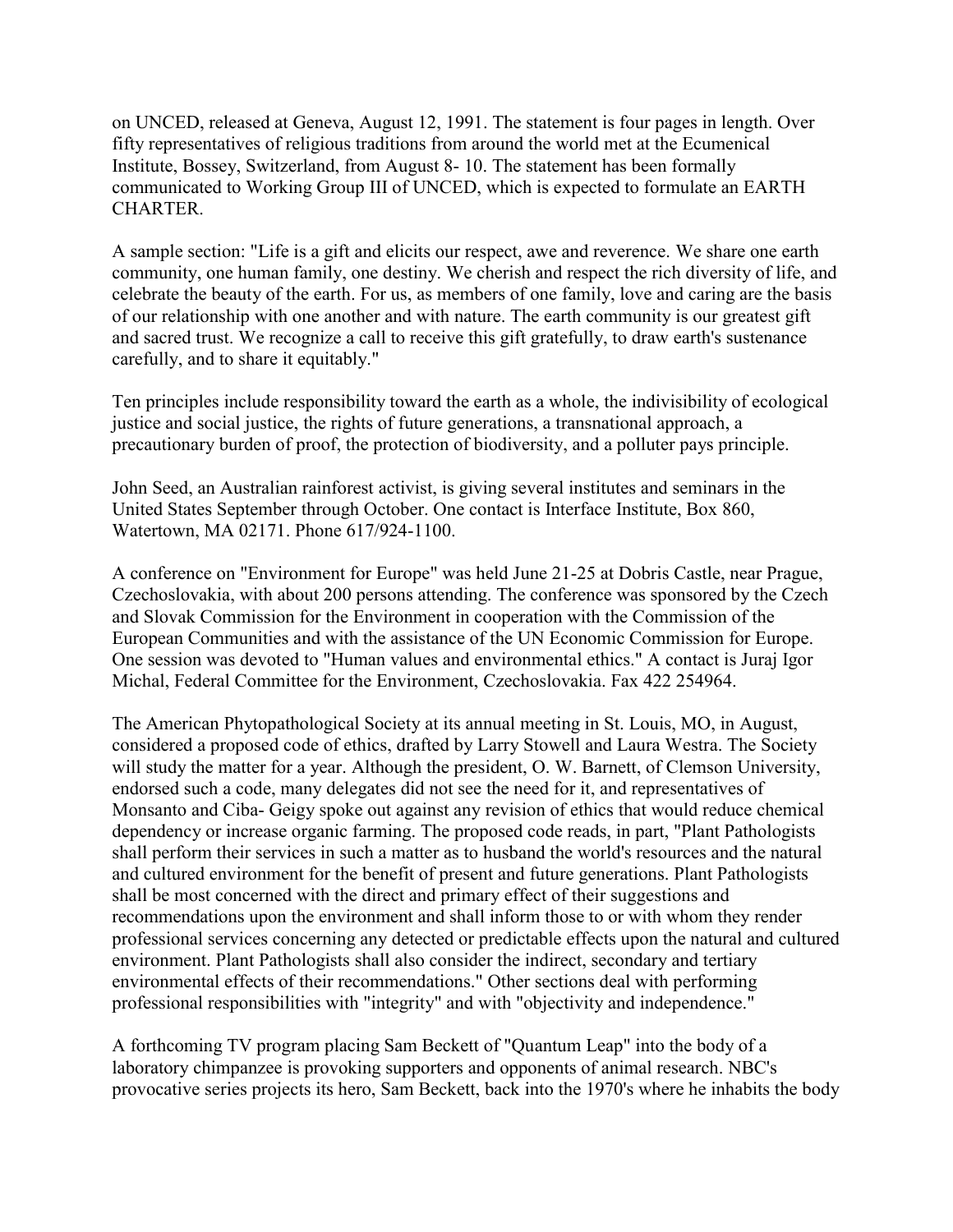on UNCED, released at Geneva, August 12, 1991. The statement is four pages in length. Over fifty representatives of religious traditions from around the world met at the Ecumenical Institute, Bossey, Switzerland, from August 8- 10. The statement has been formally communicated to Working Group III of UNCED, which is expected to formulate an EARTH CHARTER.

A sample section: "Life is a gift and elicits our respect, awe and reverence. We share one earth community, one human family, one destiny. We cherish and respect the rich diversity of life, and celebrate the beauty of the earth. For us, as members of one family, love and caring are the basis of our relationship with one another and with nature. The earth community is our greatest gift and sacred trust. We recognize a call to receive this gift gratefully, to draw earth's sustenance carefully, and to share it equitably."

Ten principles include responsibility toward the earth as a whole, the indivisibility of ecological justice and social justice, the rights of future generations, a transnational approach, a precautionary burden of proof, the protection of biodiversity, and a polluter pays principle.

John Seed, an Australian rainforest activist, is giving several institutes and seminars in the United States September through October. One contact is Interface Institute, Box 860, Watertown, MA 02171. Phone 617/924-1100.

A conference on "Environment for Europe" was held June 21-25 at Dobris Castle, near Prague, Czechoslovakia, with about 200 persons attending. The conference was sponsored by the Czech and Slovak Commission for the Environment in cooperation with the Commission of the European Communities and with the assistance of the UN Economic Commission for Europe. One session was devoted to "Human values and environmental ethics." A contact is Juraj Igor Michal, Federal Committee for the Environment, Czechoslovakia. Fax 422 254964.

The American Phytopathological Society at its annual meeting in St. Louis, MO, in August, considered a proposed code of ethics, drafted by Larry Stowell and Laura Westra. The Society will study the matter for a year. Although the president, O. W. Barnett, of Clemson University, endorsed such a code, many delegates did not see the need for it, and representatives of Monsanto and Ciba- Geigy spoke out against any revision of ethics that would reduce chemical dependency or increase organic farming. The proposed code reads, in part, "Plant Pathologists shall perform their services in such a matter as to husband the world's resources and the natural and cultured environment for the benefit of present and future generations. Plant Pathologists shall be most concerned with the direct and primary effect of their suggestions and recommendations upon the environment and shall inform those to or with whom they render professional services concerning any detected or predictable effects upon the natural and cultured environment. Plant Pathologists shall also consider the indirect, secondary and tertiary environmental effects of their recommendations." Other sections deal with performing professional responsibilities with "integrity" and with "objectivity and independence."

A forthcoming TV program placing Sam Beckett of "Quantum Leap" into the body of a laboratory chimpanzee is provoking supporters and opponents of animal research. NBC's provocative series projects its hero, Sam Beckett, back into the 1970's where he inhabits the body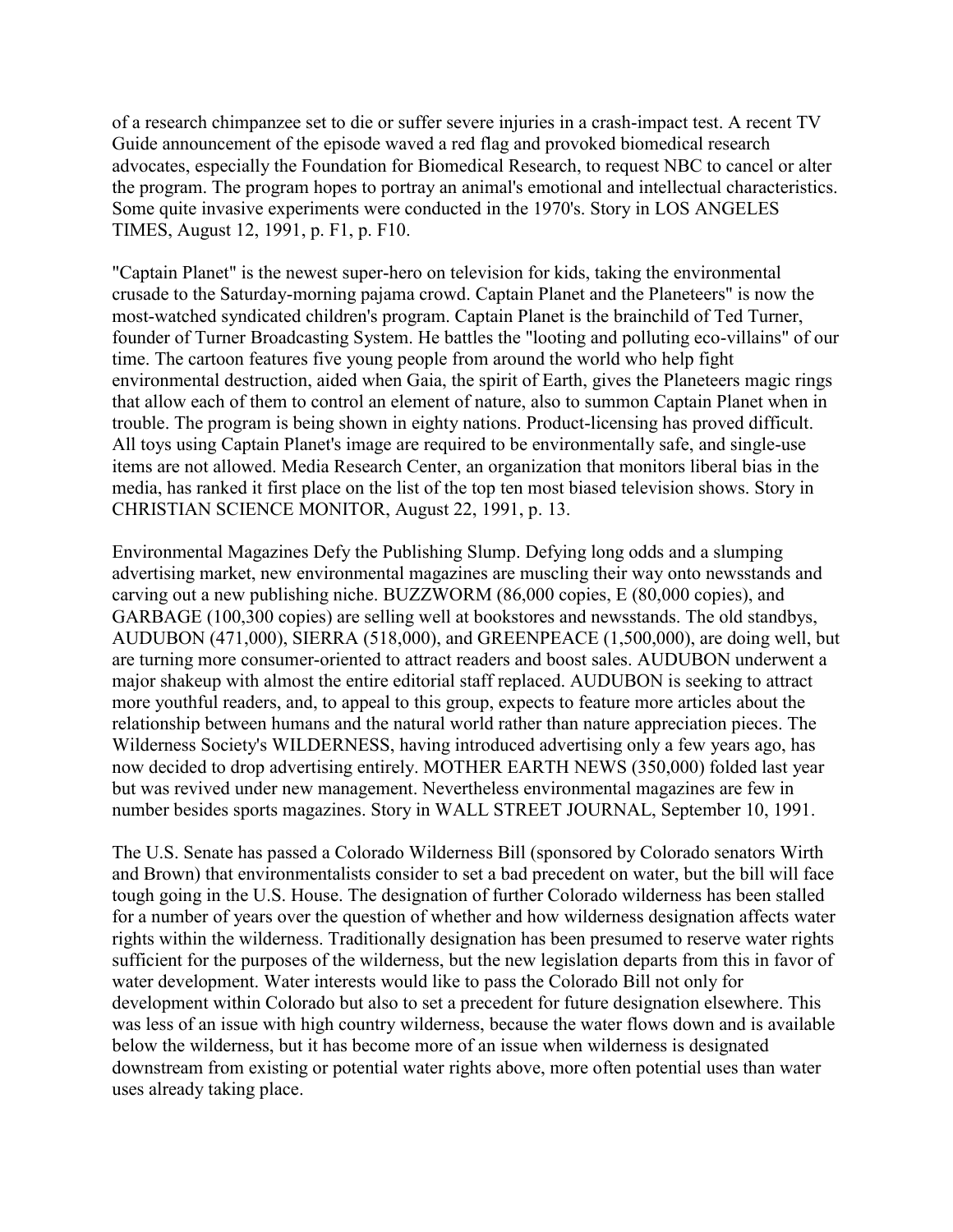of a research chimpanzee set to die or suffer severe injuries in a crash-impact test. A recent TV Guide announcement of the episode waved a red flag and provoked biomedical research advocates, especially the Foundation for Biomedical Research, to request NBC to cancel or alter the program. The program hopes to portray an animal's emotional and intellectual characteristics. Some quite invasive experiments were conducted in the 1970's. Story in LOS ANGELES TIMES, August 12, 1991, p. F1, p. F10.

"Captain Planet" is the newest super-hero on television for kids, taking the environmental crusade to the Saturday-morning pajama crowd. Captain Planet and the Planeteers" is now the most-watched syndicated children's program. Captain Planet is the brainchild of Ted Turner, founder of Turner Broadcasting System. He battles the "looting and polluting eco-villains" of our time. The cartoon features five young people from around the world who help fight environmental destruction, aided when Gaia, the spirit of Earth, gives the Planeteers magic rings that allow each of them to control an element of nature, also to summon Captain Planet when in trouble. The program is being shown in eighty nations. Product-licensing has proved difficult. All toys using Captain Planet's image are required to be environmentally safe, and single-use items are not allowed. Media Research Center, an organization that monitors liberal bias in the media, has ranked it first place on the list of the top ten most biased television shows. Story in CHRISTIAN SCIENCE MONITOR, August 22, 1991, p. 13.

Environmental Magazines Defy the Publishing Slump. Defying long odds and a slumping advertising market, new environmental magazines are muscling their way onto newsstands and carving out a new publishing niche. BUZZWORM (86,000 copies, E (80,000 copies), and GARBAGE (100,300 copies) are selling well at bookstores and newsstands. The old standbys, AUDUBON (471,000), SIERRA (518,000), and GREENPEACE (1,500,000), are doing well, but are turning more consumer-oriented to attract readers and boost sales. AUDUBON underwent a major shakeup with almost the entire editorial staff replaced. AUDUBON is seeking to attract more youthful readers, and, to appeal to this group, expects to feature more articles about the relationship between humans and the natural world rather than nature appreciation pieces. The Wilderness Society's WILDERNESS, having introduced advertising only a few years ago, has now decided to drop advertising entirely. MOTHER EARTH NEWS (350,000) folded last year but was revived under new management. Nevertheless environmental magazines are few in number besides sports magazines. Story in WALL STREET JOURNAL, September 10, 1991.

The U.S. Senate has passed a Colorado Wilderness Bill (sponsored by Colorado senators Wirth and Brown) that environmentalists consider to set a bad precedent on water, but the bill will face tough going in the U.S. House. The designation of further Colorado wilderness has been stalled for a number of years over the question of whether and how wilderness designation affects water rights within the wilderness. Traditionally designation has been presumed to reserve water rights sufficient for the purposes of the wilderness, but the new legislation departs from this in favor of water development. Water interests would like to pass the Colorado Bill not only for development within Colorado but also to set a precedent for future designation elsewhere. This was less of an issue with high country wilderness, because the water flows down and is available below the wilderness, but it has become more of an issue when wilderness is designated downstream from existing or potential water rights above, more often potential uses than water uses already taking place.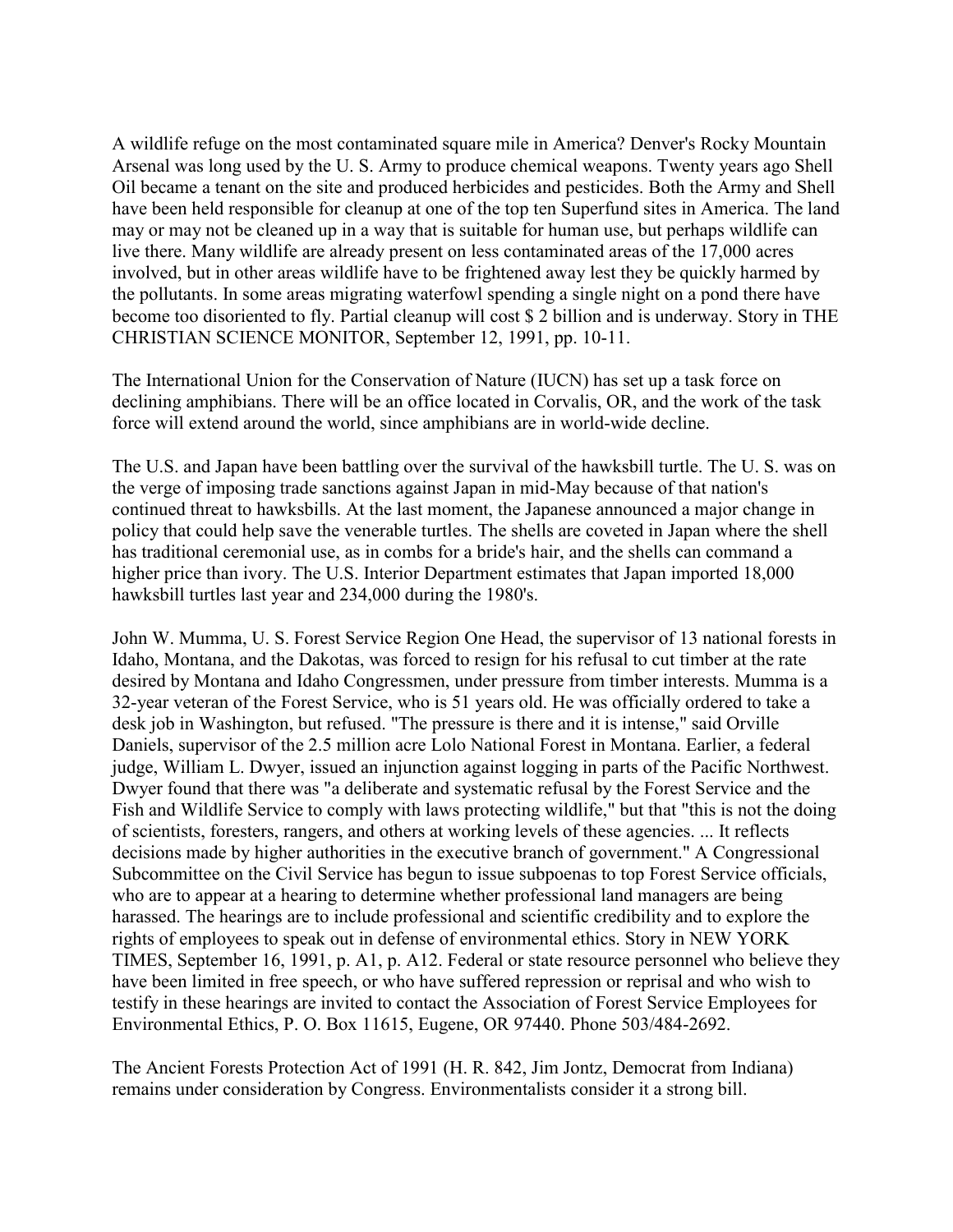A wildlife refuge on the most contaminated square mile in America? Denver's Rocky Mountain Arsenal was long used by the U. S. Army to produce chemical weapons. Twenty years ago Shell Oil became a tenant on the site and produced herbicides and pesticides. Both the Army and Shell have been held responsible for cleanup at one of the top ten Superfund sites in America. The land may or may not be cleaned up in a way that is suitable for human use, but perhaps wildlife can live there. Many wildlife are already present on less contaminated areas of the 17,000 acres involved, but in other areas wildlife have to be frightened away lest they be quickly harmed by the pollutants. In some areas migrating waterfowl spending a single night on a pond there have become too disoriented to fly. Partial cleanup will cost \$ 2 billion and is underway. Story in THE CHRISTIAN SCIENCE MONITOR, September 12, 1991, pp. 10-11.

The International Union for the Conservation of Nature (IUCN) has set up a task force on declining amphibians. There will be an office located in Corvalis, OR, and the work of the task force will extend around the world, since amphibians are in world-wide decline.

The U.S. and Japan have been battling over the survival of the hawksbill turtle. The U. S. was on the verge of imposing trade sanctions against Japan in mid-May because of that nation's continued threat to hawksbills. At the last moment, the Japanese announced a major change in policy that could help save the venerable turtles. The shells are coveted in Japan where the shell has traditional ceremonial use, as in combs for a bride's hair, and the shells can command a higher price than ivory. The U.S. Interior Department estimates that Japan imported 18,000 hawksbill turtles last year and 234,000 during the 1980's.

John W. Mumma, U. S. Forest Service Region One Head, the supervisor of 13 national forests in Idaho, Montana, and the Dakotas, was forced to resign for his refusal to cut timber at the rate desired by Montana and Idaho Congressmen, under pressure from timber interests. Mumma is a 32-year veteran of the Forest Service, who is 51 years old. He was officially ordered to take a desk job in Washington, but refused. "The pressure is there and it is intense," said Orville Daniels, supervisor of the 2.5 million acre Lolo National Forest in Montana. Earlier, a federal judge, William L. Dwyer, issued an injunction against logging in parts of the Pacific Northwest. Dwyer found that there was "a deliberate and systematic refusal by the Forest Service and the Fish and Wildlife Service to comply with laws protecting wildlife," but that "this is not the doing of scientists, foresters, rangers, and others at working levels of these agencies. ... It reflects decisions made by higher authorities in the executive branch of government." A Congressional Subcommittee on the Civil Service has begun to issue subpoenas to top Forest Service officials, who are to appear at a hearing to determine whether professional land managers are being harassed. The hearings are to include professional and scientific credibility and to explore the rights of employees to speak out in defense of environmental ethics. Story in NEW YORK TIMES, September 16, 1991, p. A1, p. A12. Federal or state resource personnel who believe they have been limited in free speech, or who have suffered repression or reprisal and who wish to testify in these hearings are invited to contact the Association of Forest Service Employees for Environmental Ethics, P. O. Box 11615, Eugene, OR 97440. Phone 503/484-2692.

The Ancient Forests Protection Act of 1991 (H. R. 842, Jim Jontz, Democrat from Indiana) remains under consideration by Congress. Environmentalists consider it a strong bill.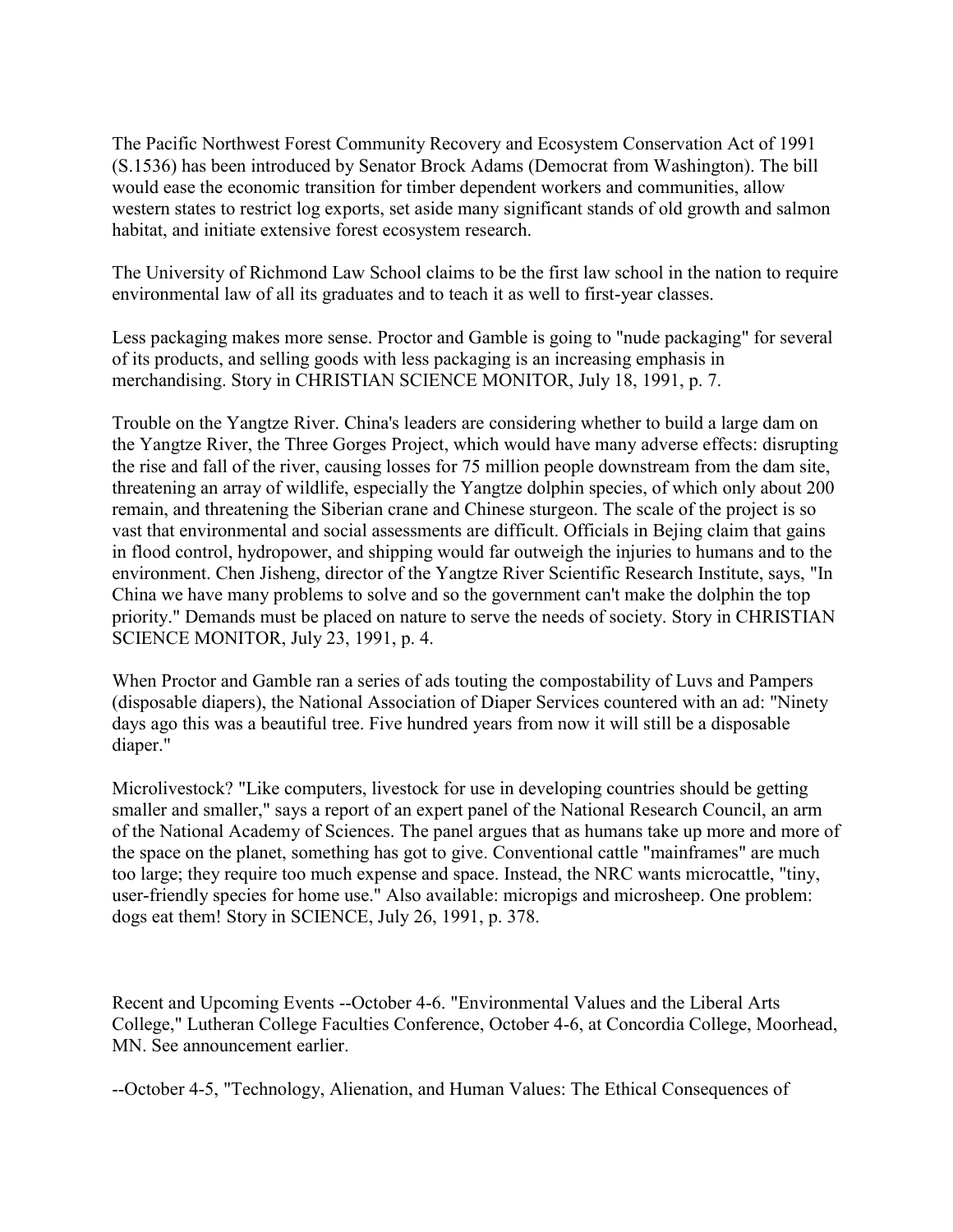The Pacific Northwest Forest Community Recovery and Ecosystem Conservation Act of 1991 (S.1536) has been introduced by Senator Brock Adams (Democrat from Washington). The bill would ease the economic transition for timber dependent workers and communities, allow western states to restrict log exports, set aside many significant stands of old growth and salmon habitat, and initiate extensive forest ecosystem research.

The University of Richmond Law School claims to be the first law school in the nation to require environmental law of all its graduates and to teach it as well to first-year classes.

Less packaging makes more sense. Proctor and Gamble is going to "nude packaging" for several of its products, and selling goods with less packaging is an increasing emphasis in merchandising. Story in CHRISTIAN SCIENCE MONITOR, July 18, 1991, p. 7.

Trouble on the Yangtze River. China's leaders are considering whether to build a large dam on the Yangtze River, the Three Gorges Project, which would have many adverse effects: disrupting the rise and fall of the river, causing losses for 75 million people downstream from the dam site, threatening an array of wildlife, especially the Yangtze dolphin species, of which only about 200 remain, and threatening the Siberian crane and Chinese sturgeon. The scale of the project is so vast that environmental and social assessments are difficult. Officials in Bejing claim that gains in flood control, hydropower, and shipping would far outweigh the injuries to humans and to the environment. Chen Jisheng, director of the Yangtze River Scientific Research Institute, says, "In China we have many problems to solve and so the government can't make the dolphin the top priority." Demands must be placed on nature to serve the needs of society. Story in CHRISTIAN SCIENCE MONITOR, July 23, 1991, p. 4.

When Proctor and Gamble ran a series of ads touting the compostability of Luvs and Pampers (disposable diapers), the National Association of Diaper Services countered with an ad: "Ninety days ago this was a beautiful tree. Five hundred years from now it will still be a disposable diaper."

Microlivestock? "Like computers, livestock for use in developing countries should be getting smaller and smaller," says a report of an expert panel of the National Research Council, an arm of the National Academy of Sciences. The panel argues that as humans take up more and more of the space on the planet, something has got to give. Conventional cattle "mainframes" are much too large; they require too much expense and space. Instead, the NRC wants microcattle, "tiny, user-friendly species for home use." Also available: micropigs and microsheep. One problem: dogs eat them! Story in SCIENCE, July 26, 1991, p. 378.

Recent and Upcoming Events --October 4-6. "Environmental Values and the Liberal Arts College," Lutheran College Faculties Conference, October 4-6, at Concordia College, Moorhead, MN. See announcement earlier.

--October 4-5, "Technology, Alienation, and Human Values: The Ethical Consequences of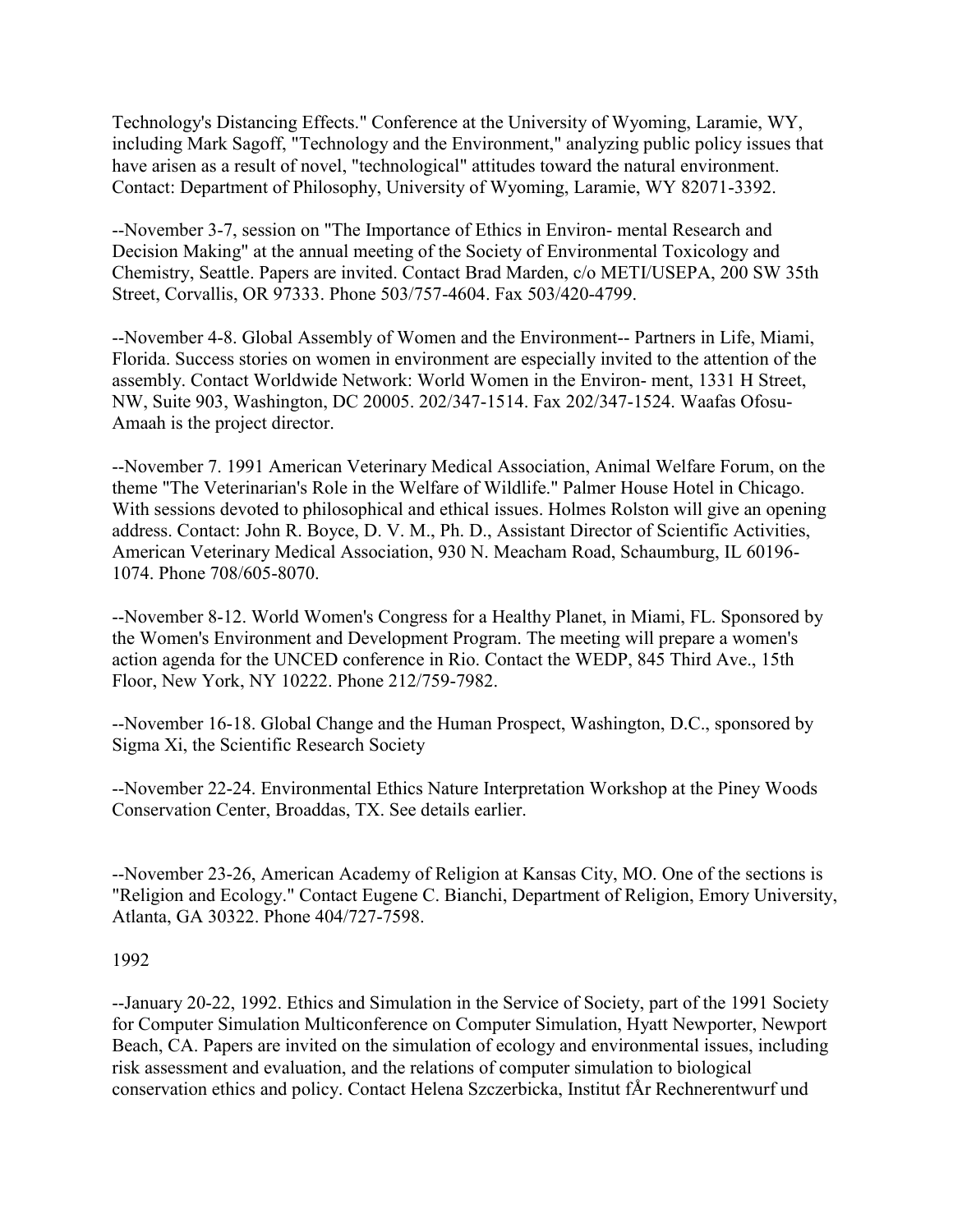Technology's Distancing Effects." Conference at the University of Wyoming, Laramie, WY, including Mark Sagoff, "Technology and the Environment," analyzing public policy issues that have arisen as a result of novel, "technological" attitudes toward the natural environment. Contact: Department of Philosophy, University of Wyoming, Laramie, WY 82071-3392.

--November 3-7, session on "The Importance of Ethics in Environ- mental Research and Decision Making" at the annual meeting of the Society of Environmental Toxicology and Chemistry, Seattle. Papers are invited. Contact Brad Marden, c/o METI/USEPA, 200 SW 35th Street, Corvallis, OR 97333. Phone 503/757-4604. Fax 503/420-4799.

--November 4-8. Global Assembly of Women and the Environment-- Partners in Life, Miami, Florida. Success stories on women in environment are especially invited to the attention of the assembly. Contact Worldwide Network: World Women in the Environ- ment, 1331 H Street, NW, Suite 903, Washington, DC 20005. 202/347-1514. Fax 202/347-1524. Waafas Ofosu-Amaah is the project director.

--November 7. 1991 American Veterinary Medical Association, Animal Welfare Forum, on the theme "The Veterinarian's Role in the Welfare of Wildlife." Palmer House Hotel in Chicago. With sessions devoted to philosophical and ethical issues. Holmes Rolston will give an opening address. Contact: John R. Boyce, D. V. M., Ph. D., Assistant Director of Scientific Activities, American Veterinary Medical Association, 930 N. Meacham Road, Schaumburg, IL 60196- 1074. Phone 708/605-8070.

--November 8-12. World Women's Congress for a Healthy Planet, in Miami, FL. Sponsored by the Women's Environment and Development Program. The meeting will prepare a women's action agenda for the UNCED conference in Rio. Contact the WEDP, 845 Third Ave., 15th Floor, New York, NY 10222. Phone 212/759-7982.

--November 16-18. Global Change and the Human Prospect, Washington, D.C., sponsored by Sigma Xi, the Scientific Research Society

--November 22-24. Environmental Ethics Nature Interpretation Workshop at the Piney Woods Conservation Center, Broaddas, TX. See details earlier.

--November 23-26, American Academy of Religion at Kansas City, MO. One of the sections is "Religion and Ecology." Contact Eugene C. Bianchi, Department of Religion, Emory University, Atlanta, GA 30322. Phone 404/727-7598.

#### 1992

--January 20-22, 1992. Ethics and Simulation in the Service of Society, part of the 1991 Society for Computer Simulation Multiconference on Computer Simulation, Hyatt Newporter, Newport Beach, CA. Papers are invited on the simulation of ecology and environmental issues, including risk assessment and evaluation, and the relations of computer simulation to biological conservation ethics and policy. Contact Helena Szczerbicka, Institut fÅr Rechnerentwurf und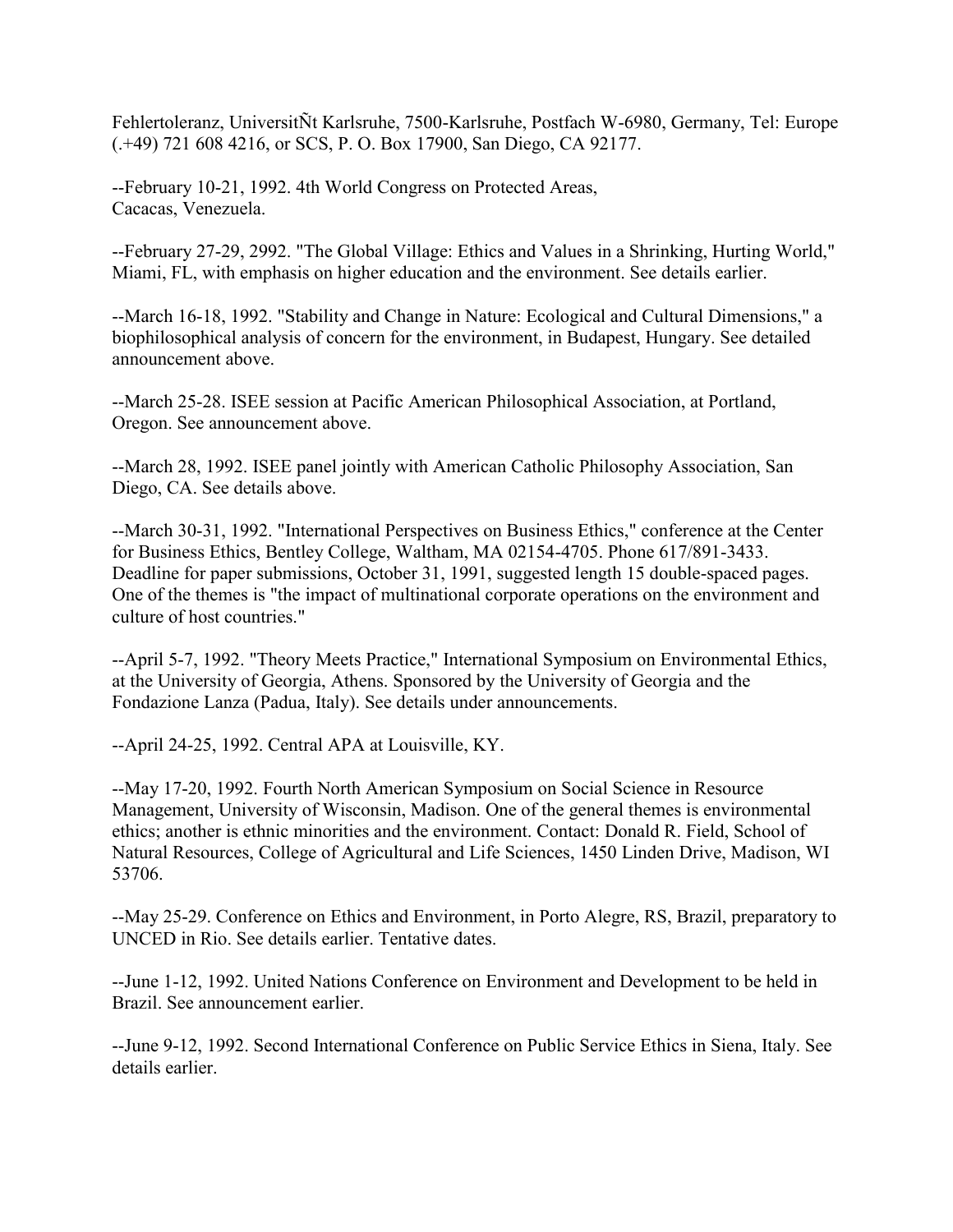Fehlertoleranz, UniversitÑt Karlsruhe, 7500-Karlsruhe, Postfach W-6980, Germany, Tel: Europe (.+49) 721 608 4216, or SCS, P. O. Box 17900, San Diego, CA 92177.

--February 10-21, 1992. 4th World Congress on Protected Areas, Cacacas, Venezuela.

--February 27-29, 2992. "The Global Village: Ethics and Values in a Shrinking, Hurting World," Miami, FL, with emphasis on higher education and the environment. See details earlier.

--March 16-18, 1992. "Stability and Change in Nature: Ecological and Cultural Dimensions," a biophilosophical analysis of concern for the environment, in Budapest, Hungary. See detailed announcement above.

--March 25-28. ISEE session at Pacific American Philosophical Association, at Portland, Oregon. See announcement above.

--March 28, 1992. ISEE panel jointly with American Catholic Philosophy Association, San Diego, CA. See details above.

--March 30-31, 1992. "International Perspectives on Business Ethics," conference at the Center for Business Ethics, Bentley College, Waltham, MA 02154-4705. Phone 617/891-3433. Deadline for paper submissions, October 31, 1991, suggested length 15 double-spaced pages. One of the themes is "the impact of multinational corporate operations on the environment and culture of host countries."

--April 5-7, 1992. "Theory Meets Practice," International Symposium on Environmental Ethics, at the University of Georgia, Athens. Sponsored by the University of Georgia and the Fondazione Lanza (Padua, Italy). See details under announcements.

--April 24-25, 1992. Central APA at Louisville, KY.

--May 17-20, 1992. Fourth North American Symposium on Social Science in Resource Management, University of Wisconsin, Madison. One of the general themes is environmental ethics; another is ethnic minorities and the environment. Contact: Donald R. Field, School of Natural Resources, College of Agricultural and Life Sciences, 1450 Linden Drive, Madison, WI 53706.

--May 25-29. Conference on Ethics and Environment, in Porto Alegre, RS, Brazil, preparatory to UNCED in Rio. See details earlier. Tentative dates.

--June 1-12, 1992. United Nations Conference on Environment and Development to be held in Brazil. See announcement earlier.

--June 9-12, 1992. Second International Conference on Public Service Ethics in Siena, Italy. See details earlier.